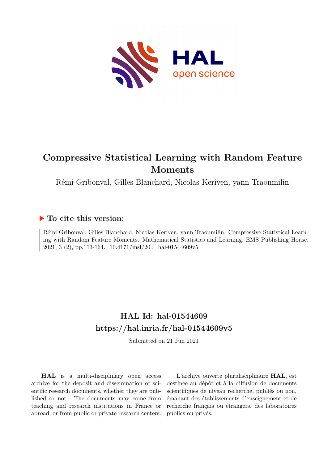

# **Compressive Statistical Learning with Random Feature Moments**

Rémi Gribonval, Gilles Blanchard, Nicolas Keriven, yann Traonmilin

## **To cite this version:**

Rémi Gribonval, Gilles Blanchard, Nicolas Keriven, yann Traonmilin. Compressive Statistical Learning with Random Feature Moments. Mathematical Statistics and Learning, EMS Publishing House,  $2021, 3$  (2), pp.113-164.  $10.4171/\text{msl}/20$ . hal-01544609v5

# **HAL Id: hal-01544609 <https://hal.inria.fr/hal-01544609v5>**

Submitted on 21 Jun 2021

**HAL** is a multi-disciplinary open access archive for the deposit and dissemination of scientific research documents, whether they are published or not. The documents may come from teaching and research institutions in France or abroad, or from public or private research centers.

L'archive ouverte pluridisciplinaire **HAL**, est destinée au dépôt et à la diffusion de documents scientifiques de niveau recherche, publiés ou non, émanant des établissements d'enseignement et de recherche français ou étrangers, des laboratoires publics ou privés.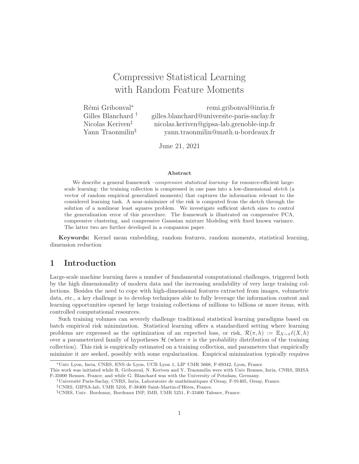# Compressive Statistical Learning with Random Feature Moments

Rémi Gribonval<sup>∗</sup> Gilles Blanchard †

remi.gribonval@inria.fr gilles.blanchard@universite-paris-saclay.fr Nicolas Keriven‡ nicolas.keriven@gipsa-lab.grenoble-inp.fr Yann Traonmilin<sup>§</sup> yann.traonmilin@math.u-bordeaux.fr

June 21, 2021

#### Abstract

We describe a general framework –*compressive statistical learning*– for resource-efficient largescale learning: the training collection is compressed in one pass into a low-dimensional sketch (a vector of random empirical generalized moments) that captures the information relevant to the considered learning task. A near-minimizer of the risk is computed from the sketch through the solution of a nonlinear least squares problem. We investigate sufficient sketch sizes to control the generalization error of this procedure. The framework is illustrated on compressive PCA, compressive clustering, and compressive Gaussian mixture Modeling with fixed known variance. The latter two are further developed in a companion paper.

Keywords: Kernel mean embedding, random features, random moments, statistical learning, dimension reduction

## 1 Introduction

Large-scale machine learning faces a number of fundamental computational challenges, triggered both by the high dimensionality of modern data and the increasing availability of very large training collections. Besides the need to cope with high-dimensional features extracted from images, volumetric data, etc., a key challenge is to develop techniques able to fully leverage the information content and learning opportunities opened by large training collections of millions to billions or more items, with controlled computational resources.

Such training volumes can severely challenge traditional statistical learning paradigms based on batch empirical risk minimization. Statistical learning offers a standardized setting where learning problems are expressed as the optimization of an expected loss, or risk,  $\mathcal{R}(\pi,h) := \mathbb{E}_{X \sim \pi} \ell(X,h)$ over a parameterized family of hypotheses  $\mathcal{H}$  (where  $\pi$  is the probability distribution of the training collection). This risk is empirically estimated on a training collection, and parameters that empirically minimize it are seeked, possibly with some regularization. Empirical minimization typically requires

<sup>∗</sup>Univ Lyon, Inria, CNRS, ENS de Lyon, UCB Lyon 1, LIP UMR 5668, F-69342, Lyon, France

This work was initiated while R. Gribonval, N. Keriven and Y. Traonmilin were with Univ Rennes, Inria, CNRS, IRISA F-35000 Rennes, France; and while G. Blanchard was with the University of Potsdam, Germany.

<sup>†</sup>Universit´e Paris-Saclay, CNRS, Inria, Laboratoire de math´ematiques d'Orsay, F-91405, Orsay, France.

<sup>‡</sup>CNRS, GIPSA-lab, UMR 5216, F-38400 Saint-Martin-d'H`eres, France.

<sup>§</sup>CNRS, Univ. Bordeaux, Bordeaux INP, IMB, UMR 5251, F-33400 Talence, France.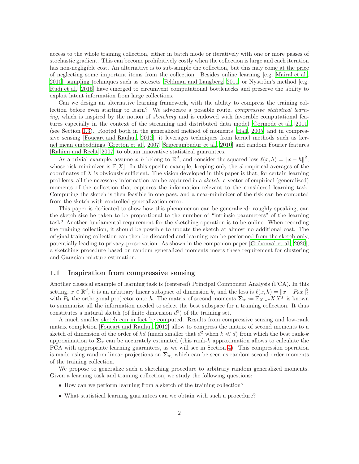access to the whole training collection, either in batch mode or iteratively with one or more passes of stochastic gradient. This can become prohibitively costly when the collection is large and each iteration has non-negligible cost. An alternative is to sub-sample the collection, but this may come at the price of neglecting some important items from the collection. Besides online learning [e.g. Mairal et al., 2010], sampling techniques such as coresets [Feldman and Langberg, 2011] or Nyström's method [e.g. Rudi et al., 2015] have emerged to circumvent computational bottlenecks and preserve the ability to exploit latent information from large collections.

Can we design an alternative learning framework, with the ability to compress the training collection before even starting to learn? We advocate a possible route, compressive statistical learning, which is inspired by the notion of sketching and is endowed with favorable computational features especially in the context of the streaming and distributed data model [Cormode et al., 2011] (see Section 1.3). Rooted both in the generalized method of moments [Hall, 2005] and in compressive sensing [Foucart and Rauhut, 2012], it leverages techniques from kernel methods such as kernel mean embeddings [Gretton et al., 2007, Sriperumbudur et al., 2010] and random Fourier features [Rahimi and Recht, 2007] to obtain innovative statistical guarantees.

As a trivial example, assume  $x, h$  belong to  $\mathbb{R}^d$ , and consider the squared loss  $\ell(x, h) = ||x - h||^2$ , whose risk minimizer is  $\mathbb{E}[X]$ . In this specific example, keeping only the d empirical averages of the coordinates of  $X$  is obviously sufficient. The vision developed in this paper is that, for certain learning problems, all the necessary information can be captured in a sketch: a vector of empirical (generalized) moments of the collection that captures the information relevant to the considered learning task. Computing the sketch is then feasible in one pass, and a near-minimizer of the risk can be computed from the sketch with controlled generalization error.

This paper is dedicated to show how this phenomenon can be generalized: roughly speaking, can the sketch size be taken to be proportional to the number of "intrinsic parameters" of the learning task? Another fundamental requirement for the sketching operation is to be online. When recording the training collection, it should be possible to update the sketch at almost no additional cost. The original training collection can then be discarded and learning can be performed from the sketch only, potentially leading to privacy-preservation. As shown in the companion paper [Gribonval et al., 2020], a sketching procedure based on random generalized moments meets these requirement for clustering and Gaussian mixture estimation.

#### 1.1 Inspiration from compressive sensing

Another classical example of learning task is (centered) Principal Component Analysis (PCA). In this setting,  $x \in \mathbb{R}^d$ , h is an arbitrary linear subspace of dimension k, and the loss is  $\ell(x, h) = ||x - P_hx||_2^2$ with  $P_h$  the orthogonal projector onto h. The matrix of second moments  $\Sigma_{\pi} := \mathbb{E}_{X \sim \pi} X X^T$  is known to summarize all the information needed to select the best subspace for a training collection. It thus constitutes a natural sketch (of finite dimension  $d^2$ ) of the training set.

A much smaller sketch can in fact be computed. Results from compressive sensing and low-rank matrix completion [Foucart and Rauhut, 2012] allow to compress the matrix of second moments to a sketch of dimension of the order of kd (much smaller that  $d^2$  when  $k \ll d$ ) from which the best rank-k approximation to  $\Sigma_{\pi}$  can be accurately estimated (this rank-k approximation allows to calculate the PCA with appropriate learning guarantees, as we will see in Section 4). This compression operation is made using random linear projections on  $\Sigma_{\pi}$ , which can be seen as random second order moments of the training collection.

We propose to generalize such a sketching procedure to arbitrary random generalized moments. Given a learning task and training collection, we study the following questions:

- How can we perform learning from a sketch of the training collection?
- What statistical learning guarantees can we obtain with such a procedure?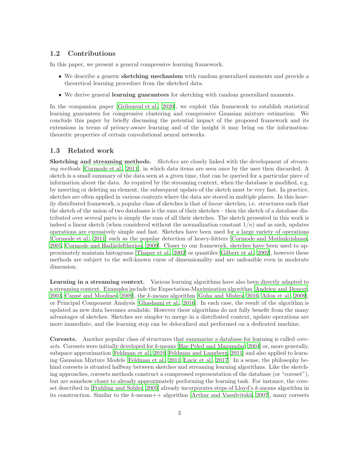#### 1.2 Contributions

In this paper, we present a general compressive learning framework.

- We describe a generic **sketching mechanism** with random generalized moments and provide a theoretical learning procedure from the sketched data.
- We derive general **learning guarantees** for sketching with random generalized moments.

In the companion paper [Gribonval et al., 2020], we exploit this framework to establish statistical learning guarantees for compressive clustering and compressive Gaussian mixture estimation. We conclude this paper by briefly discussing the potential impact of the proposed framework and its extensions in terms of privacy-aware learning and of the insight it may bring on the informationtheoretic properties of certain convolutional neural networks.

#### 1.3 Related work

Sketching and streaming methods. Sketches are closely linked with the development of streaming methods [Cormode et al., 2011], in which data items are seen once by the user then discarded. A sketch is a small summary of the data seen at a given time, that can be queried for a particular piece of information about the data. As required by the streaming context, when the database is modified, e.g. by inserting or deleting an element, the subsequent update of the sketch must be very fast. In practice, sketches are often applied in various contexts where the data are stored in multiple places. In this heavily distributed framework, a popular class of sketches is that of linear sketches, i.e. structures such that the sketch of the union of two databases is the sum of their sketches – then the sketch of a database distributed over several parts is simply the sum of all their sketches. The sketch presented in this work is indeed a linear sketch (when considered without the normalization constant  $1/n$ ) and as such, updates operations are excessively simple and fast. Sketches have been used for a large variety of operations [Cormode et al., 2011] such as the popular detection of heavy-hitters [Cormode and Muthukrishnan, 2005, Cormode and Hadjieleftheriou, 2009]. Closer to our framework, sketches have been used to approximately maintain histograms [Thaper et al., 2002] or quantiles [Gilbert et al., 2002], however these methods are subject to the well-known curse of dimensionality and are unfeasible even in moderate dimension.

Learning in a streaming context. Various learning algorithms have also been directly adapted to a streaming context. Examples include the Expectation-Maximization algorithm [Andrieu and Doucet, 2003, Cappé and Moulines, 2009], the  $k$ -means algorithm [Guha and Mishra, 2016, Ailon et al., 2009], or Principal Component Analysis [Ghashami et al., 2016]. In each case, the result of the algorithm is updated as new data becomes available. However these algorithms do not fully benefit from the many advantages of sketches. Sketches are simpler to merge in a distributed context, update operations are more immediate, and the learning step can be delocalized and performed on a dedicated machine.

Coresets. Another popular class of structures that summarize a database for learning is called coresets. Coresets were initially developed for k-means [Har-Peled and Mazumdar, 2004] or, more generally, subspace approximation [Feldman et al., 2010, Feldman and Langberg, 2011] and also applied to learning Gaussian Mixture Models [Feldman et al., 2011, Lucic et al., 2017]. In a sense, the philosophy behind coresets is situated halfway between sketches and streaming learning algorithms. Like the sketching approaches, coresets methods construct a compressed representation of the database (or "coreset"), but are somehow closer to already approximately performing the learning task. For instance, the coreset described in [Frahling and Sohler, 2005] already incorporates steps of Lloyd's k-means algorithm in its construction. Similar to the k-means++ algorithm [Arthur and Vassilvitskii, 2007], many coresets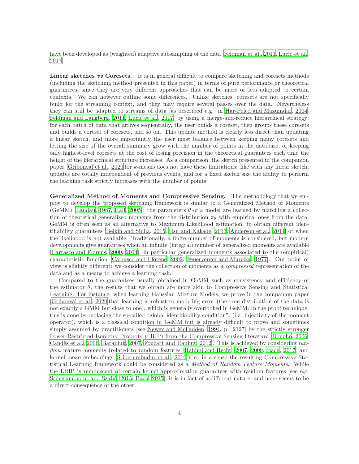have been developed as (weighted) adaptive subsampling of the data [Feldman et al., 2011, Lucic et al., 2017].

Linear sketches vs Coresets. It is in general difficult to compare sketching and coresets methods (including the sketching method presented in this paper) in terms of pure performance or theoretical guarantees, since they are very different approaches that can be more or less adapted to certain contexts. We can however outline some differences. Unlike sketches, coresets are not specifically build for the streaming context, and they may require several passes over the data. Nevertheless they can still be adapted to streams of data [as described e.g. in Har-Peled and Mazumdar, 2004, Feldman and Langberg, 2011, Lucic et al., 2017] by using a merge-and-reduce hierarchical strategy: for each batch of data that arrives sequentially, the user builds a coreset, then groups these coresets and builds a coreset of coresets, and so on. This update method is clearly less direct than updating a linear sketch, and more importantly the user must balance between keeping many coresets and letting the size of the overall summary grow with the number of points in the database, or keeping only highest-level coresets at the cost of losing precision in the theoretical guarantees each time the height of the hierarchical structure increases. As a comparison, the sketch presented in the companion paper [Gribonval et al., 2020]for k-means does not have these limitations: like with any linear sketch, updates are totally independent of previous events, and for a fixed sketch size the ability to perform the learning task strictly increases with the number of points.

Generalized Method of Moments and Compressive Sensing. The methodology that we employ to develop the proposed sketching framework is similar to a Generalized Method of Moments (GeMM) [Landau, 1987, Hall, 2005]: the parameters  $\theta$  of a model are learned by matching a collection of theoretical generalized moments from the distribution  $\pi_{\theta}$  with empirical ones from the data. GeMM is often seen as an alternative to Maximum Likelihood estimation, to obtain different identifiability guarantees [Belkin and Sinha, 2015, Hsu and Kakade, 2013, Anderson et al., 2014] or when the likelihood is not available. Traditionally, a finite number of moments is considered, but modern developments give guarantees when an infinite (integral) number of generalized moments are available [Carrasco and Florens, 2000, 2014], in particular generalized moments associated to the (empirical) characteristic function [Carrasco and Florens, 2002, Feuerverger and Mureika, 1977]. Our point of view is slightly different: we consider the collection of moments as a compressed representation of the data and as a means to achieve a learning task.

Compared to the guarantees usually obtained in GeMM such as consistency and efficiency of the estimator  $\hat{\theta}$ , the results that we obtain are more akin to Compressive Sensing and Statistical Learning. For instance, when learning Gaussian Mixture Models, we prove in the companion paper [Gribonval et al., 2020]that learning is robust to modeling error (the true distribution of the data is not exactly a GMM but close to one), which is generally overlooked in GeMM. In the proof technique, this is done by replacing the so-called "global identifiability condition", (i.e. injectivity of the moment operator), which is a classical condition in GeMM but is already difficult to prove and sometimes simply assumed by practitioners [see Newey and McFadden, 1994, p. 2127] by the strictly stronger Lower Restricted Isometry Property (LRIP) from the Compressive Sensing literature [Donoho, 2006, Candès et al., 2006, Baraniuk, 2007, Foucart and Rauhut, 2012. This is achieved by considering random feature moments (related to random features [Rahimi and Recht, 2007, 2009, Bach, 2017] and kernel mean embeddings [Sriperumbudur et al., 2010]), so in a sense the resulting Compressive Statistical Learning framework could be considered as a Method of Random Feature Moments. While the LRIP is reminiscent of certain kernel approximation guarantees with random features [see e.g. Sriperumbudur and Szabó, 2015, Bach, 2017, it is in fact of a different nature, and none seems to be a direct consequence of the other.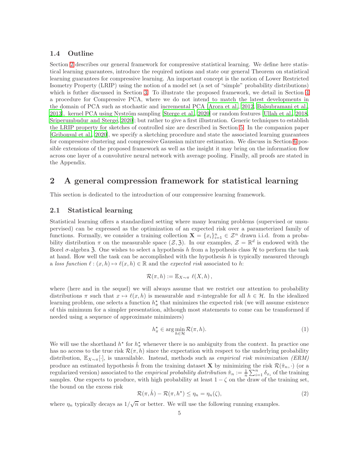#### 1.4 Outline

Section 2 describes our general framework for compressive statistical learning. We define here statistical learning guarantees, introduce the required notions and state our general Theorem on statistical learning guarantees for compressive learning. An important concept is the notion of Lower Restricted Isometry Property (LRIP) using the notion of a model set (a set of "simple" probability distributions) which is futher discussed in Section 3. To illustrate the proposed framework, we detail in Section 4 a procedure for Compressive PCA, where we do not intend to match the latest developments in the domain of PCA such as stochastic and incremental PCA [Arora et al., 2012, Balsubramani et al., 2013], kernel PCA using Nyström sampling [Sterge et al., 2020] or random features [Ullah et al., 2018, Sriperumbudur and Sterge, 2020]; but rather to give a first illustration. Generic techniques to establish the LRIP property for sketches of controlled size are described in Section 5. In the companion paper [Gribonval et al., 2020], we specify a sketching procedure and state the associated learning guarantees for compressive clustering and compressive Gaussian mixture estimation. We discuss in Section 6 possible extensions of the proposed framework as well as the insight it may bring on the information flow across one layer of a convolutive neural network with average pooling. Finally, all proofs are stated in the Appendix.

## 2 A general compression framework for statistical learning

This section is dedicated to the introduction of our compressive learning framework.

#### 2.1 Statistical learning

Statistical learning offers a standardized setting where many learning problems (supervised or unsupervised) can be expressed as the optimization of an expected risk over a parameterized family of functions. Formally, we consider a training collection  $\mathbf{X} = \{x_i\}_{i=1}^n \in \mathcal{Z}^n$  drawn i.i.d. from a probability distribution  $\pi$  on the measurable space  $(\mathcal{Z}, \mathfrak{Z})$ . In our examples,  $\mathcal{Z} = \mathbb{R}^d$  is endowed with the Borel  $\sigma$ -algebra 3. One wishes to select a hypothesis h from a hypothesis class  $\mathcal H$  to perform the task at hand. How well the task can be accomplished with the hypothesis h is typically measured through a loss function  $\ell : (x, h) \mapsto \ell(x, h) \in \mathbb{R}$  and the expected risk associated to h:

$$
\mathcal{R}(\pi,h) := \mathbb{E}_{X \sim \pi} \ell(X,h),
$$

where (here and in the sequel) we will always assume that we restrict our attention to probability distributions  $\pi$  such that  $x \mapsto \ell(x, h)$  is measurable and  $\pi$ -integrable for all  $h \in \mathcal{H}$ . In the idealized learning problem, one selects a function  $h_{\pi}^{\star}$  that minimizes the expected risk (we will assume existence of this minimum for a simpler presentation, although most statements to come can be transformed if needed using a sequence of approximate minimizers)

$$
h_{\pi}^{\star} \in \arg\min_{h \in \mathcal{H}} \mathcal{R}(\pi, h). \tag{1}
$$

We will use the shorthand  $h^*$  for  $h^*_{\pi}$  whenever there is no ambiguity from the context. In practice one has no access to the true risk  $\mathcal{R}(\pi, h)$  since the expectation with respect to the underlying probability distribution,  $\mathbb{E}_{X\sim\pi}[\cdot]$ , is unavailable. Instead, methods such as *empirical risk minimization* (ERM) produce an estimated hypothesis h̊ from the training dataset **X** by minimizing the risk  $\mathcal{R}(\hat{\pi}_n, \cdot)$  (or a regularized version) associated to the *empirical probability distribution*  $\hat{\pi}_n := \frac{1}{n} \sum_{i=1}^n \delta_{x_i}$  of the training samples. One expects to produce, with high probability at least  $1 - \zeta$  on the draw of the training set, the bound on the excess risk

$$
\mathcal{R}(\pi,\hat{h}) - \mathcal{R}(\pi,h^*) \le \eta_n = \eta_n(\zeta),\tag{2}
$$

where  $\eta_n$  typically decays as  $1/\sqrt{n}$  or better. We will use the following running examples.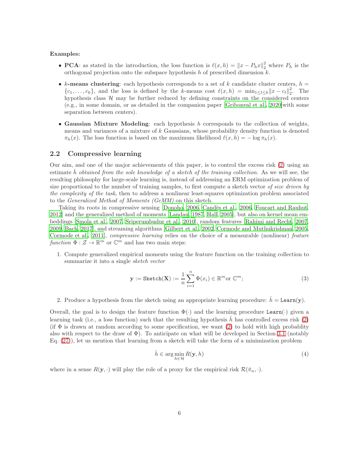#### Examples:

- **PCA**: as stated in the introduction, the loss function is  $\ell(x, h) = ||x P_hx||_2^2$  where  $P_h$  is the orthogonal projection onto the subspace hypothesis h of prescribed dimension  $k$ .
- k-means clustering: each hypothesis corresponds to a set of k candidate cluster centers,  $h =$  ${c_1, \ldots, c_k}$ , and the loss is defined by the k-means cost  $\ell(x, h) = \min_{1 \leq l \leq k} ||x - c_l||_2^2$  $\frac{2}{2}$ . The hypothesis class  $H$  may be further reduced by defining constraints on the considered centers (e.g., in some domain, or as detailed in the companion paper [Gribonval et al., 2020]with some separation between centers).
- Gaussian Mixture Modeling: each hypothesis  $h$  corresponds to the collection of weights, means and variances of a mixture of  $k$  Gaussians, whose probability density function is denoted  $\pi_h(x)$ . The loss function is based on the maximum likelihood  $\ell(x, h) = -\log \pi_h(x)$ .

#### 2.2 Compressive learning

Our aim, and one of the major achievements of this paper, is to control the excess risk (2) using an estimate h obtained from the sole knowledge of a sketch of the training collection. As we will see, the resulting philosophy for large-scale learning is, instead of addressing an ERM optimization problem of size proportional to the number of training samples, to first compute a sketch vector of size driven by the complexity of the task, then to address a nonlinear least-squares optimization problem associated to the Generalized Method of Moments (GeMM) on this sketch.

Taking its roots in compressive sensing [Donoho, 2006, Candès et al., 2006, Foucart and Rauhut, 2012] and the generalized method of moments [Landau, 1987, Hall, 2005], but also on kernel mean embeddings [Smola et al., 2007, Sriperumbudur et al., 2010], random features [Rahimi and Recht, 2007, 2009, Bach, 2017], and streaming algorithms [Gilbert et al., 2002, Cormode and Muthukrishnan, 2005, Cormode et al., 2011], *compressive learning* relies on the choice of a measurable (nonlinear) *feature* function  $\Phi : \mathcal{Z} \to \mathbb{R}^m$  or  $\mathbb{C}^m$  and has two main steps:

1. Compute generalized empirical moments using the feature function on the training collection to summarize it into a single sketch vector

$$
\mathbf{y} := \text{Sketch}(\mathbf{X}) := \frac{1}{n} \sum_{i=1}^{n} \Phi(x_i) \in \mathbb{R}^m \text{or } \mathbb{C}^m; \tag{3}
$$

2. Produce a hypothesis from the sketch using an appropriate learning procedure:  $\hat{h} = \text{Learn}(y)$ .

Overall, the goal is to design the feature function  $\Phi(\cdot)$  and the learning procedure Learn( $\cdot$ ) given a learning task (i.e., a loss function) such that the resulting hypothesis h has controlled excess risk  $(2)$ (if  $\Phi$  is drawn at random according to some specification, we want (2) to hold with high probablity also with respect to the draw of  $\Phi$ ). To anticipate on what will be developed in Section 3.1 (notably  $Eq. (27)$ , let us mention that learning from a sketch will take the form of a minimization problem

$$
\hat{h} \in \arg\min_{h \in \mathcal{H}} R(\mathbf{y}, h) \tag{4}
$$

where in a sense  $R(\mathbf{y},\cdot)$  will play the role of a proxy for the empirical risk  $\mathcal{R}(\hat{\pi}_n,\cdot)$ .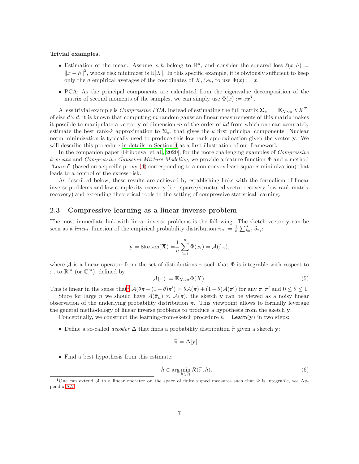#### Trivial examples.

- Estimation of the mean: Assume x, h belong to  $\mathbb{R}^d$ , and consider the squared loss  $\ell(x,h)$  =  $||x - h||^2$ , whose risk minimizer is  $\mathbb{E}[X]$ . In this specific example, it is obviously sufficient to keep only the d empirical averages of the coordinates of X, i.e., to use  $\Phi(x) := x$ .
- PCA: As the principal components are calculated from the eigenvalue decomposition of the matrix of second moments of the samples, we can simply use  $\Phi(x) := xx^T$ .

A less trivial example is *Compressive PCA*. Instead of estimating the full matrix  $\Sigma_{\pi} = \mathbb{E}_{X \sim \pi} X X^T$ , of size  $d \times d$ , it is known that computing m random gaussian linear measurements of this matrix makes it possible to manipulate a vector **y** of dimension  $m$  of the order of  $kd$  from which one can accurately estimate the best rank-k approximation to  $\Sigma_{\pi}$ , that gives the k first principal components. Nuclear norm minimization is typically used to produce this low rank approximation given the vector y. We will describe this procedure in details in Section 4 as a first illustration of our framework.

In the companion paper [Gribonval et al., 2020], for the more challenging examples of Compressive k-means and Compressive Gaussian Mixture Modeling, we provide a feature function  $\Phi$  and a method "Learn" (based on a specific proxy (4) corresponding to a non-convex least-squares minimization) that leads to a control of the excess risk.

As described below, these results are achieved by establishing links with the formalism of linear inverse problems and low complexity recovery (i.e., sparse/structured vector recovery, low-rank matrix recovery) and extending theoretical tools to the setting of compressive statistical learning.

#### 2.3 Compressive learning as a linear inverse problem

The most immediate link with linear inverse problems is the following. The sketch vector y can be seen as a *linear* function of the empirical probability distribution  $\hat{\pi}_n := \frac{1}{n} \sum_{i=1}^n \delta_{x_i}$ :

$$
\mathbf{y} = \text{Sketch}(\mathbf{X}) = \frac{1}{n} \sum_{i=1}^{n} \Phi(x_i) = \mathcal{A}(\hat{\pi}_n),
$$

where A is a linear operator from the set of distributions  $\pi$  such that  $\Phi$  is integrable with respect to  $\pi$ , to  $\mathbb{R}^m$  (or  $\mathbb{C}^m$ ), defined by

$$
\mathcal{A}(\pi) := \mathbb{E}_{X \sim \pi} \Phi(X). \tag{5}
$$

This is linear in the sense that  $\mathcal{A}(\theta \pi + (1 - \theta)\pi') = \theta \mathcal{A}(\pi) + (1 - \theta)\mathcal{A}(\pi')$  for any  $\pi, \pi'$  and  $0 \le \theta \le 1$ .

Since for large n we should have  $A(\hat{\pi}_n) \approx A(\pi)$ , the sketch y can be viewed as a noisy linear observation of the underlying probability distribution  $\pi$ . This viewpoint allows to formally leverage the general methodology of linear inverse problems to produce a hypothesis from the sketch y.

Conceptually, we construct the learning-from-sketch procedure  $h = \text{Learn}(y)$  in two steps:

• Define a so-called *decoder*  $\Delta$  that finds a probability distribution  $\tilde{\pi}$  given a sketch y:

$$
\widetilde{\pi} = \Delta[\mathbf{y}];
$$

• Find a best hypothesis from this estimate:

$$
\hat{h} \in \arg\min_{h \in \mathcal{H}} \mathcal{R}(\tilde{\pi}, h). \tag{6}
$$

<sup>&</sup>lt;sup>1</sup>One can extend A to a linear operator on the space of finite signed measures such that  $\Phi$  is integrable, see Appendix A.2.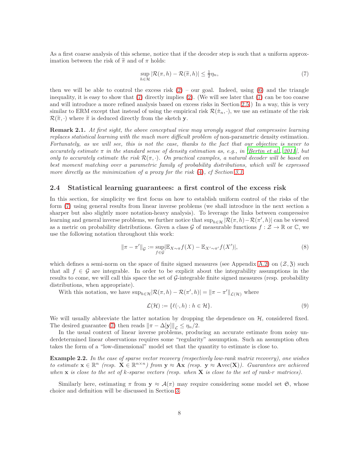As a first coarse analysis of this scheme, notice that if the decoder step is such that a uniform approximation between the risk of  $\tilde{\pi}$  and of  $\pi$  holds:

$$
\sup_{h \in \mathcal{H}} |\mathcal{R}(\pi, h) - \mathcal{R}(\widetilde{\pi}, h)| \le \frac{1}{2} \eta_n,
$$
\n(7)

then we will be able to control the excess risk  $(2)$  – our goal. Indeed, using  $(6)$  and the triangle inequality, it is easy to show that  $(7)$  directly implies  $(2)$ . (We will see later that  $(7)$  can be too coarse and will introduce a more refined analysis based on excess risks in Section 2.5.) In a way, this is very similar to ERM except that instead of using the empirical risk  $\mathcal{R}(\hat{\pi}_n, \cdot)$ , we use an estimate of the risk  $\mathcal{R}(\widetilde{\pi},\cdot)$  where  $\widetilde{\pi}$  is deduced directly from the sketch y.

**Remark 2.1.** At first sight, the above conceptual view may wrongly suggest that compressive learning replaces statistical learning with the much more difficult problem of non-parametric density estimation. Fortunately, as we will see, this is not the case, thanks to the fact that our objective is never to accurately estimate  $\pi$  in the standard sense of density estimation as, e.g., in [Bertin et al., 2011], but only to accurately estimate the risk  $\mathcal{R}(\pi, \cdot)$ . On practical examples, a natural decoder will be based on best moment matching over a parametric family of probability distributions, which will be expressed more directly as the minimization of a proxy for the risk (4), cf Section 3.1.

#### 2.4 Statistical learning guarantees: a first control of the excess risk

In this section, for simplicity we first focus on how to establish uniform control of the risks of the form (7) using general results from linear inverse problems (we shall introduce in the next section a sharper but also slightly more notation-heavy analysis). To leverage the links between compressive learning and general inverse problems, we further notice that  $\sup_{h \in \mathcal{H}} |\mathcal{R}(\pi, h) - \mathcal{R}(\pi', h)|$  can be viewed as a metric on probability distributions. Given a class G of measurable functions  $f: \mathcal{Z} \to \mathbb{R}$  or  $\mathbb{C}$ , we use the following notation throughout this work:

$$
\|\pi - \pi'\|_{\mathcal{G}} := \sup_{f \in \mathcal{G}} |\mathbb{E}_{X \sim \pi} f(X) - \mathbb{E}_{X' \sim \pi'} f(X')|, \tag{8}
$$

which defines a semi-norm on the space of finite signed measures (see Appendix A.2) on  $(\mathcal{Z}, \mathfrak{Z})$  such that all  $f \in \mathcal{G}$  are integrable. In order to be explicit about the integrability assumptions in the results to come, we will call this space the set of  $G$ -integrable finite signed measures (resp. probability distributions, when appropriate).

With this notation, we have  $\sup_{h\in\mathcal{H}}|\mathcal{R}(\pi, h) - \mathcal{R}(\pi', h)| = ||\pi - \pi'||_{\mathcal{L}(\mathcal{H})}$  where

$$
\mathcal{L}(\mathcal{H}) := \{ \ell(\cdot, h) : h \in \mathcal{H} \}. \tag{9}
$$

We will usually abbreviate the latter notation by dropping the dependence on  $H$ , considered fixed. The desired guarantee (7) then reads  $\|\pi - \Delta[\mathbf{y}]\|_{\mathcal{L}} \leq \eta_n/2$ .

In the usual context of linear inverse problems, producing an accurate estimate from noisy underdetermined linear observations requires some "regularity" assumption. Such an assumption often takes the form of a "low-dimensional" model set that the quantity to estimate is close to.

Example 2.2. In the case of sparse vector recovery (respectively low-rank matrix recovery), one wishes to estimate  $\mathbf{x} \in \mathbb{R}^n$  (resp.  $\mathbf{X} \in \mathbb{R}^{n \times n}$ ) from  $\mathbf{y} \approx \mathbf{A}\mathbf{x}$  (resp.  $\mathbf{y} \approx \mathbf{A}\text{vec}(\mathbf{X})$ ). Guarantees are achieved when  $x$  is close to the set of k-sparse vectors (resp. when  $X$  is close to the set of rank-r matrices).

Similarly here, estimating  $\pi$  from  $y \approx A(\pi)$  may require considering some model set  $\mathfrak{S}$ , whose choice and definition will be discussed in Section 3.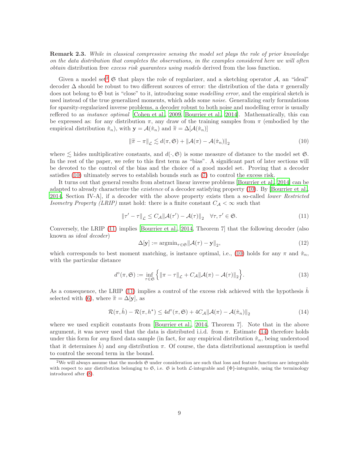Remark 2.3. While in classical compressive sensing the model set plays the role of prior knowledge on the data distribution that completes the observations, in the examples considered here we will often obtain distribution free excess risk guarantees using models derived from the loss function.

Given a model set<sup>2</sup>  $\mathfrak S$  that plays the role of regularizer, and a sketching operator A, an "ideal" decoder  $\Delta$  should be robust to two different sources of error: the distribution of the data  $\pi$  generally does not belong to  $G$  but is "close" to it, introducing some *modelling error*, and the empirical sketch is used instead of the true generalized moments, which adds some *noise*. Generalizing early formulations for sparsity-regularized inverse problems, a decoder robust to both noise and modelling error is usually reffered to as instance optimal [Cohen et al., 2009, Bourrier et al., 2014]. Mathematically, this can be expressed as: for any distribution  $\pi$ , any draw of the training samples from  $\pi$  (embodied by the empirical distribution  $\hat{\pi}_n$ , with  $\mathbf{y} = \mathcal{A}(\hat{\pi}_n)$  and  $\tilde{\pi} = \Delta[\mathcal{A}(\hat{\pi}_n)]$ 

$$
\left\|\tilde{\pi} - \pi\right\|_{\mathcal{L}} \lesssim d(\pi, \mathfrak{S}) + \left\|\mathcal{A}(\pi) - \mathcal{A}(\hat{\pi}_n)\right\|_{2} \tag{10}
$$

where  $\lesssim$  hides multiplicative constants, and  $d(\cdot, \mathfrak{S})$  is some measure of distance to the model set  $\mathfrak{S}$ . In the rest of the paper, we refer to this first term as "bias". A significant part of later sections will be devoted to the control of the bias and the choice of a good model set. Proving that a decoder satisfies (10) ultimately serves to establish bounds such as (7) to control the excess risk.

It turns out that general results from abstract linear inverse problems [Bourrier et al., 2014] can be adapted to already characterize the existence of a decoder satisfying property (10). By [Bourrier et al., 2014, Section IV-A], if a decoder with the above property exists then a so-called lower Restricted Isometry Property (LRIP) must hold: there is a finite constant  $C_A < \infty$  such that

$$
\|\tau' - \tau\|_{\mathcal{L}} \le C_{\mathcal{A}} \|\mathcal{A}(\tau') - \mathcal{A}(\tau)\|_{2} \quad \forall \tau, \tau' \in \mathfrak{S}.
$$
 (11)

Conversely, the LRIP (11) implies [Bourrier et al., 2014, Theorem 7] that the following decoder (also known as ideal decoder)

$$
\Delta[\mathbf{y}] := \operatorname{argmin}_{\tau \in \mathfrak{S}} \|\mathcal{A}(\tau) - \mathbf{y}\|_2,\tag{12}
$$

which corresponds to best moment matching, is instance optimal, i.e., (10) holds for any  $\pi$  and  $\hat{\pi}_n$ , with the particular distance

$$
d^{\circ}(\pi, \mathfrak{S}) := \inf_{\tau \in \mathfrak{S}} \left\{ \left\| \pi - \tau \right\|_{\mathcal{L}} + C_{\mathcal{A}} \left\| \mathcal{A}(\pi) - \mathcal{A}(\tau) \right\|_{2} \right\}.
$$
 (13)

As a consequence, the LRIP (11) implies a control of the excess risk achieved with the hypothesis  $\hat{h}$ selected with (6), where  $\tilde{\pi} = \Delta[\mathbf{y}]$ , as

$$
\mathcal{R}(\pi,\hat{h}) - \mathcal{R}(\pi,h^*) \le 4d^{\circ}(\pi,\mathfrak{S}) + 4C_{\mathcal{A}} \|\mathcal{A}(\pi) - \mathcal{A}(\hat{\pi}_n)\|_2
$$
\n(14)

where we used explicit constants from [Bourrier et al., 2014, Theorem 7]. Note that in the above argument, it was never used that the data is distributed i.i.d. from  $\pi$ . Estimate (14) therefore holds under this form for any fixed data sample (in fact, for any empirical distribution  $\hat{\pi}_n$ , being understood that it determines h and any distribution  $\pi$ . Of course, the data distributional assumption is useful to control the second term in the bound.

<sup>&</sup>lt;sup>2</sup>We will always assume that the models  $\mathfrak S$  under consideration are such that loss and feature functions are integrable with respect to any distribution belonging to  $\mathfrak{S}$ , i.e.  $\mathfrak{S}$  is both  $\mathcal{L}\text{-integrable}$  and  $\{\Phi\}\text{-integrable}$ , using the terminology introduced after (8).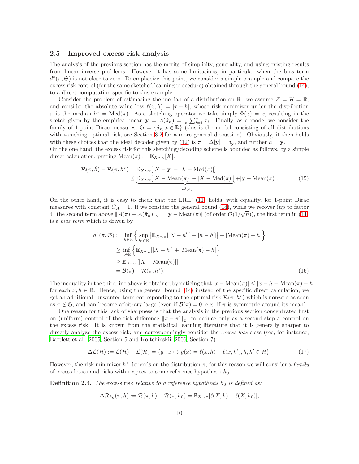#### 2.5 Improved excess risk analysis

The analysis of the previous section has the merits of simplicity, generality, and using existing results from linear inverse problems. However it has some limitations, in particular when the bias term  $d^{\circ}(\pi, \mathfrak{S})$  is not close to zero. To emphasize this point, we consider a simple example and compare the excess risk control (for the same sketched learning procedure) obtained through the general bound (14), to a direct computation specific to this example.

Consider the problem of estimating the median of a distribution on  $\mathbb{R}$ : we assume  $\mathcal{Z} = \mathcal{H} = \mathbb{R}$ , and consider the absolute value loss  $\ell(x, h) = |x - h|$ , whose risk minimizer under the distribution  $\pi$  is the median  $h^* = \text{Med}(\pi)$ . As a sketching operator we take simply  $\Phi(x) = x$ , resulting in the sketch given by the empirical mean  $y = A(\hat{\pi}_n) = \frac{1}{n} \sum_{i=1}^n x_i$ . Finally, as a model we consider the family of 1-point Dirac measures,  $\mathfrak{S} = \{\delta_x, x \in \mathbb{R}\}\$  (this is the model consisting of all distributions with vanishing optimal risk, see Section 3.2 for a more general discussion). Obviously, it then holds with these choices that the ideal decoder given by (12) is  $\tilde{\pi} = \Delta[\mathbf{y}] = \delta_{\mathbf{y}}$ , and further  $\tilde{h} = \mathbf{y}$ .

On the one hand, the excess risk for this sketching/decoding scheme is bounded as follows, by a simple direct calculation, putting Mean $(\pi) := \mathbb{E}_{X \sim \pi}[X]$ :

$$
\mathcal{R}(\pi,\hat{h}) - \mathcal{R}(\pi,h^*) = \mathbb{E}_{X \sim \pi}[|X - \mathbf{y}| - |X - \text{Med}(\pi)|] \leq \underbrace{\mathbb{E}_{X \sim \pi}[|X - \text{Mean}(\pi)| - |X - \text{Med}(\pi)|]}_{=: \mathcal{B}(\pi)} + |\mathbf{y} - \text{Mean}(\pi)|.
$$
 (15)

On the other hand, it is easy to check that the LRIP (11) holds, with equality, for 1-point Dirac measures with constant  $C_A = 1$ . If we consider the general bound (14), while we recover (up to factor 4) the second term above  $||\mathcal{A}(\pi) - \mathcal{A}(\hat{\pi}_n)||_2 = |\mathbf{y} - \text{Mean}(\pi)|$  (of order  $\mathcal{O}(1/\sqrt{n})$ ), the first term in (14) is a bias term which is driven by

$$
d^{\circ}(\pi, \mathfrak{S}) := \inf_{h \in \mathbb{R}} \left\{ \sup_{h' \in \mathbb{R}} |\mathbb{E}_{X \sim \pi}[|X - h'|] - |h - h'| + |\text{Mean}(\pi) - h| \right\}
$$
  
\n
$$
\geq \inf_{h \in \mathbb{R}} \left\{ \mathbb{E}_{X \sim \pi}[|X - h|] + |\text{Mean}(\pi) - h| \right\}
$$
  
\n
$$
\geq \mathbb{E}_{X \sim \pi}[|X - \text{Mean}(\pi)|]
$$
  
\n
$$
= \mathcal{B}(\pi) + \mathcal{R}(\pi, h^*).
$$
 (16)

The inequality in the third line above is obtained by noticing that  $|x - \text{Mean}(\pi)| \leq |x - h| + |\text{Mean}(\pi) - h|$ for each  $x, h \in \mathbb{R}$ . Hence, using the general bound (14) instead of the specific direct calculation, we get an additional, unwanted term corresponding to the optimal risk  $\mathcal{R}(\pi, h^*)$  which is nonzero as soon as  $\pi \notin \mathfrak{S}$ , and can become arbitrary large (even if  $\mathcal{B}(\pi) = 0$ , e.g. if  $\pi$  is symmetric around its mean).

One reason for this lack of sharpness is that the analysis in the previous section concentrated first on (uniform) control of the risk difference  $\|\pi - \pi'\|_{\mathcal{L}}$ , to deduce only as a second step a control on the excess risk. It is known from the statistical learning literature that it is generally sharper to directly analyze the excess risk; and correspondingly consider the excess loss class (see, for instance, Bartlett et al., 2005, Section 5 and Koltchinskii, 2006, Section 7):

$$
\Delta \mathcal{L}(\mathcal{H}) := \mathcal{L}(\mathcal{H}) - \mathcal{L}(\mathcal{H}) = \{ g : x \mapsto g(x) = \ell(x, h) - \ell(x, h'), h, h' \in \mathcal{H} \}. \tag{17}
$$

However, the risk minimizer  $h^*$  depends on the distribution  $\pi$ ; for this reason we will consider a family of excess losses and risks with respect to some reference hypothesis  $h_0$ .

**Definition 2.4.** The excess risk relative to a reference hypothesis  $h_0$  is defined as:

$$
\Delta \mathcal{R}_{h_0}(\pi, h) := \mathcal{R}(\pi, h) - \mathcal{R}(\pi, h_0) = \mathbb{E}_{X \sim \pi} [\ell(X, h) - \ell(X, h_0)],
$$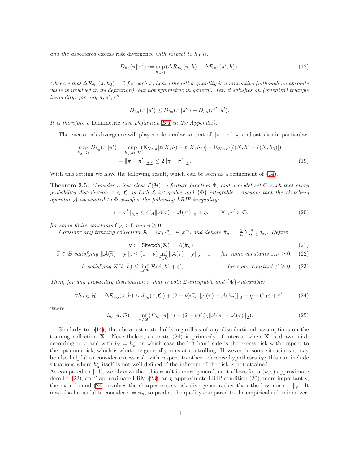and the associated excess risk divergence with respect to  $h_0$  is:

$$
D_{h_0}(\pi||\pi') := \sup_{h \in \mathcal{H}} (\Delta \mathcal{R}_{h_0}(\pi, h) - \Delta \mathcal{R}_{h_0}(\pi', h)). \tag{18}
$$

Observe that  $\Delta \mathcal{R}_{h_0}(\pi, h_0) = 0$  for each  $\pi$ , hence the latter quantity is nonnegative (although no absolute value is involved in its definition), but not symmetric in general. Yet, it satisfies an (oriented) triangle inequality: for any  $\pi, \pi', \pi''$ 

$$
D_{h_0}(\pi||\pi') \leq D_{h_0}(\pi||\pi'') + D_{h_0}(\pi''||\pi').
$$

It is therefore a hemimetric (see Definition B.1 in the Appendix).

The excess risk divergence will play a role similar to that of  $\|\pi - \pi'\|_{\mathcal{L}}$ , and satisfies in particular

$$
\sup_{h_0 \in \mathcal{H}} D_{h_0}(\pi \| \pi') = \sup_{h_0, h \in \mathcal{H}} (\mathbb{E}_{X \sim \pi} [\ell(X, h) - \ell(X, h_0)] - \mathbb{E}_{X \sim \pi'} [\ell(X, h) - \ell(X, h_0)])
$$
  
= 
$$
\|\pi - \pi'\|_{\Delta \mathcal{L}} \le 2 \|\pi - \pi'\|_{\mathcal{L}}.
$$
 (19)

With this setting we have the following result, which can be seen as a refinement of (14).

**Theorem 2.5.** Consider a loss class  $\mathcal{L}(\mathcal{H})$ , a feature function  $\Phi$ , and a model set  $\mathfrak{S}$  such that every probability distribution  $\tau \in \mathfrak{S}$  is both  $\mathcal{L}\text{-integrable}$  and  $\{\Phi\}\text{-integrable}$ . Assume that the sketching operator  $A$  associated to  $\Phi$  satisfies the following LRIP inequality:

$$
\|\tau - \tau'\|_{\Delta \mathcal{L}} \le C_{\mathcal{A}} \|\mathcal{A}(\tau) - \mathcal{A}(\tau')\|_2 + \eta, \qquad \forall \tau, \tau' \in \mathfrak{S},
$$
 (20)

for some finite constants  $C_A > 0$  and  $\eta \geq 0$ .

Consider any training collection  $\mathbf{X} = \{x_i\}_{i=1}^n \in \mathcal{Z}^n$ , and denote  $\hat{\pi}_n := \frac{1}{n} \sum_{i=1}^n \delta_{x_i}$ . Define

$$
\mathbf{y} := \text{Sketch}(\mathbf{X}) = \mathcal{A}(\hat{\pi}_n),\tag{21}
$$

$$
\widetilde{\pi} \in \mathfrak{S} \ satisfying \|\mathcal{A}(\widetilde{\pi}) - \mathbf{y}\|_2 \le (1+\nu) \inf_{\tau \in \mathfrak{S}} \|\mathcal{A}(\tau) - \mathbf{y}\|_2 + \varepsilon, \quad \text{for some constants } \varepsilon, \nu \ge 0, \tag{22}
$$

$$
\hat{h} \ satisfying \ \mathcal{R}(\widetilde{\pi}, \hat{h}) \le \inf_{h \in \mathcal{H}} \mathcal{R}(\widetilde{\pi}, h) + \varepsilon', \qquad \text{for some constant } \varepsilon' \ge 0. \tag{23}
$$

Then, for any probability distribution  $\pi$  that is both  $\mathcal{L}\text{-integrable}$  and  $\{\Phi\}\text{-integrable}$ :

$$
\forall h_0 \in \mathcal{H}: \ \ \Delta \mathcal{R}_{h_0}(\pi, \hat{h}) \leq d_{h_0}(\pi, \mathfrak{S}) + (2 + \nu)C_{\mathcal{A}} \|\mathcal{A}(\pi) - \mathcal{A}(\hat{\pi}_n)\|_2 + \eta + C_{\mathcal{A}}\varepsilon + \varepsilon', \tag{24}
$$

where

$$
d_{h_0}(\pi, \mathfrak{S}) := \inf_{\tau \in \mathfrak{S}} \left( D_{h_0}(\pi \| \tau) + (2 + \nu) C_{\mathcal{A}} \| \mathcal{A}(\pi) - \mathcal{A}(\tau) \|_2 \right). \tag{25}
$$

Similarly to (14), the above estimate holds regardless of any distributional assumptions on the training collection  $X$ . Nevertheless, estimate  $(24)$  is primarily of interest when  $X$  is drawn i.i.d. according to  $\pi$  and with  $h_0 = h_{\pi}^*$ , in which case the left-hand side is the excess risk with respect to the optimum risk, which is what one generally aims at controlling. However, in some situations it may be also helpful to consider excess risk with respect to other reference hypotheses  $h_0$ ; this can include situations where  $h_{\pi}^{\star}$  itself is not well-defined if the infimum of the risk is not attained.

As compared to (14), we observe that this result is more general, as it allows for a  $(\nu, \varepsilon)$ -approximate decoder (22), an  $\varepsilon'$ -approximate ERM (23), an  $\eta$ -approximate LRIP condition (20); more importantly, the main bound (24) involves the sharper excess risk divergence rather than the loss norm  $\|.\|_{\mathcal{L}}$ . It may also be useful to consider  $\pi = \hat{\pi}_n$ , to predict the quality compared to the empirical risk minimizer.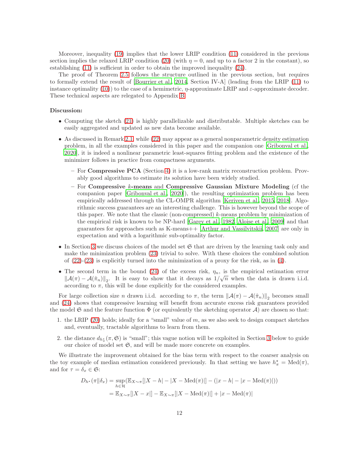Moreover, inequality (19) implies that the lower LRIP condition (11) considered in the previous section implies the relaxed LRIP condition (20) (with  $\eta = 0$ , and up to a factor 2 in the constant), so establishing (11) is sufficient in order to obtain the improved inequality (24).

The proof of Theorem 2.5 follows the structure outlined in the previous section, but requires to formally extend the result of [Bourrier et al., 2014, Section IV-A] (leading from the LRIP (11) to instance optimality (10)) to the case of a hemimetric,  $\eta$ -approximate LRIP and  $\varepsilon$ -approximate decoder. These technical aspects are relegated to Appendix B.

#### Discussion:

- Computing the sketch (21) is highly parallelizable and distributable. Multiple sketches can be easily aggregated and updated as new data become available.
- As discussed in Remark 2.1, while (22) may appear as a general nonparametric density estimation problem, in all the examples considered in this paper and the companion one [Gribonval et al., 2020], it is indeed a nonlinear parametric least-squares fitting problem and the existence of the minimizer follows in practice from compactness arguments.
	- For Compressive PCA (Section 4) it is a low-rank matrix reconstruction problem. Provably good algorithms to estimate its solution have been widely studied.
	- For Compressive  $k$ -means and Compressive Gaussian Mixture Modeling (cf the companion paper [Gribonval et al., 2020]), the resulting optimization problem has been empirically addressed through the CL-OMPR algorithm [Keriven et al., 2015, 2018]. Algorithmic success guarantees are an interesting challenge. This is however beyond the scope of this paper. We note that the classic (non-compressed)  $k$ -means problem by minimization of the empirical risk is known to be NP-hard [Garey et al., 1982, Aloise et al., 2009] and that guarantees for approaches such as K-means++ [Arthur and Vassilvitskii, 2007] are only in expectation and with a logarithmic sub-optimality factor.
- In Section 3 we discuss choices of the model set  $\mathfrak S$  that are driven by the learning task only and make the minimization problem (23) trivial to solve. With these choices the combined solution of  $(22)-(23)$  is explicitly turned into the minimization of a proxy for the risk, as in  $(4)$ .
- The second term in the bound (24) of the excess risk,  $\eta_n$ , is the empirical estimation error  $||\mathcal{A}(\pi) - \mathcal{A}(\hat{\pi}_n)||_2$ . It is easy to show that it decays as  $1/\sqrt{n}$  when the data is drawn i.i.d. according to  $\pi$ , this will be done explicitly for the considered examples.

For large collection size *n* drawn i.i.d. according to  $\pi$ , the term  $\|\mathcal{A}(\pi) - \mathcal{A}(\hat{\pi}_n)\|_2$  becomes small and (24) shows that compressive learning will benefit from accurate excess risk guarantees provided the model  $\mathfrak S$  and the feature function  $\Phi$  (or equivalently the sketching operator A) are chosen so that:

- 1. the LRIP (20) holds; ideally for a "small" value of  $m$ , as we also seek to design compact sketches and, eventually, tractable algorithms to learn from them.
- 2. the distance  $d_{h^*_\pi}(\pi, \mathfrak{S})$  is "small"; this vague notion will be exploited in Section 3 below to guide our choice of model set  $\mathfrak{S}$ , and will be made more concrete on examples.

We illustrate the improvement obtained for the bias term with respect to the coarser analysis on the toy example of median estimation considered previously. In that setting we have  $h_{\pi}^* = \text{Med}(\pi)$ , and for  $\tau = \delta_x \in \mathfrak{S}$ :

$$
D_{h^*}(\pi || \delta_x) = \sup_{h \in \mathcal{H}} (\mathbb{E}_{X \sim \pi}[|X - h| - |X - \text{Med}(\pi)|] - (|x - h| - |x - \text{Med}(\pi)|))
$$
  
=  $\mathbb{E}_{X \sim \pi}[|X - x|] - \mathbb{E}_{X \sim \pi}[|X - \text{Med}(\pi)|] + |x - \text{Med}(\pi)|$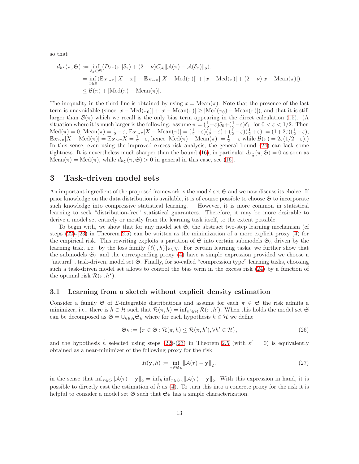so that

$$
d_{h^*}(\pi, \mathfrak{S}) := \inf_{\delta_x \in \mathfrak{S}} (D_{h^*}(\pi \| \delta_x) + (2 + \nu)C_{\mathcal{A}} \| \mathcal{A}(\pi) - \mathcal{A}(\delta_x) \|_2).
$$
  
\n
$$
= \inf_{x \in \mathbb{R}} (\mathbb{E}_{X \sim \pi} [|X - x|] - \mathbb{E}_{X \sim \pi} [|X - \text{Med}(\pi)|] + |x - \text{Med}(\pi)| + (2 + \nu)|x - \text{Mean}(\pi)|).
$$
  
\n
$$
\leq \mathcal{B}(\pi) + |\text{Med}(\pi) - \text{Mean}(\pi)|.
$$

The inequality in the third line is obtained by using  $x = \text{Mean}(\pi)$ . Note that the presence of the last term is unavoidable (since  $|x - \text{Med}(\pi_0)| + |x - \text{Mean}(\pi)| \ge |\text{Med}(\pi_0) - \text{Mean}(\pi)|$ ), and that it is still larger than  $\mathcal{B}(\pi)$  which we recall is the only bias term appearing in the direct calculation (15). (A situation where it is much larger is the following: assume  $\pi = (\frac{1}{2} + \varepsilon)\delta_0 + (\frac{1}{2} - \varepsilon)\delta_1$ , for  $0 < \varepsilon < 1/2$ . Then  $\text{Med}(\pi) = 0, \text{Mean}(\pi) = \frac{1}{2} - \varepsilon, \mathbb{E}_{X \sim \pi} |X - \text{Mean}(\pi)| = (\frac{1}{2} + \varepsilon)(\frac{1}{2} - \varepsilon) + (\frac{1}{2} - \varepsilon)(\frac{1}{2} + \varepsilon) = (1 + 2\varepsilon)(\frac{1}{2} - \varepsilon),$  $\mathbb{E}_{X \sim \pi} |X - \text{Med}(\pi)| = \mathbb{E}_{X \sim \pi} X = \frac{1}{2} - \varepsilon$ , hence  $|\text{Med}(\pi) - \text{Mean}(\pi)| = \frac{1}{2} - \varepsilon$  while  $\mathcal{B}(\pi) = 2\varepsilon(1/2 - \varepsilon)$ .) In this sense, even using the improved excess risk analysis, the general bound (24) can lack some tightness. It is nevertheless much sharper than the bound (16), in particular  $d_{h^*_{\pi}}(\pi, \mathfrak{S}) = 0$  as soon as  $Mean(\pi) = Med(\pi)$ , while  $d_{h^*_{\pi}}(\pi, \mathfrak{S}) > 0$  in general in this case, see (16).

## 3 Task-driven model sets

An important ingredient of the proposed framework is the model set  $\mathfrak S$  and we now discuss its choice. If prior knowledge on the data distribution is available, it is of course possible to choose  $\mathfrak S$  to incorporate such knowledge into compressive statistical learning. However, it is more common in statistical learning to seek "distribution-free" statistical guarantees. Therefore, it may be more desirable to derive a model set entirely or mostly from the learning task itself, to the extent possible.

To begin with, we show that for any model set  $\mathfrak{S}$ , the abstract two-step learning mechanism (cf steps (22)-(23) in Theorem 2.5) can be written as the minimization of a more explicit proxy (4) for the empirical risk. This rewriting exploits a partition of  $\mathfrak S$  into certain submodels  $\mathfrak S_h$  driven by the learning task, i.e. by the loss family  $\{\ell(\cdot,h)\}_{h\in\mathcal{H}}$ . For certain learning tasks, we further show that the submodels  $\mathfrak{S}_h$  and the corresponding proxy (4) have a simple expression provided we choose a "natural", task-driven, model set S. Finally, for so-called "compression type" learning tasks, choosing such a task-driven model set allows to control the bias term in the excess risk (24) by a function of the optimal risk  $\mathcal{R}(\pi, h^*)$ .

#### 3.1 Learning from a sketch without explicit density estimation

Consider a family G of L-integrable distributions and assume for each  $\pi \in \mathfrak{S}$  the risk admits a minimizer, i.e., there is  $h \in \mathcal{H}$  such that  $\mathcal{R}(\pi, h) = \inf_{h' \in \mathcal{H}} \mathcal{R}(\pi, h')$ . When this holds the model set  $\mathfrak{S}$ can be decomposed as  $\mathfrak{S} = \cup_{h \in \mathcal{H}} \mathfrak{S}_h$  where for each hypothesis  $h \in \mathcal{H}$  we define

$$
\mathfrak{S}_h := \{ \pi \in \mathfrak{S} : \mathcal{R}(\pi, h) \le \mathcal{R}(\pi, h'), \forall h' \in \mathcal{H} \},\tag{26}
$$

and the hypothesis  $\hat{h}$  selected using steps (22)-(23) in Theorem 2.5 (with  $\varepsilon' = 0$ ) is equivalently obtained as a near-minimizer of the following proxy for the risk

$$
R(\mathbf{y}, h) := \inf_{\tau \in \mathfrak{S}_h} \|\mathcal{A}(\tau) - \mathbf{y}\|_2, \tag{27}
$$

in the sense that  $\inf_{\tau \in \mathfrak{S}} ||\mathcal{A}(\tau) - \mathbf{y}||_2 = \inf_h \inf_{\tau \in \mathfrak{S}_h} ||\mathcal{A}(\tau) - \mathbf{y}||_2$ . With this expression in hand, it is possible to directly cast the estimation of  $\hat{h}$  as (4). To turn this into a concrete proxy for the risk it is helpful to consider a model set  $\mathfrak{S}$  such that  $\mathfrak{S}_h$  has a simple characterization.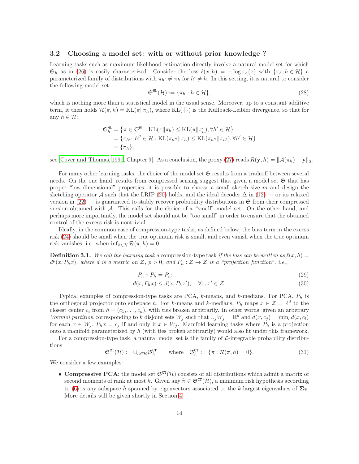#### 3.2 Choosing a model set: with or without prior knowledge ?

Learning tasks such as maximum likelihood estimation directly involve a natural model set for which  $\mathfrak{S}_h$  as in (26) is easily characterized. Consider the loss  $\ell(x,h) = -\log \pi_h(x)$  with  $\{\pi_h, h \in \mathcal{H}\}\$ parameterized family of distributions with  $\pi_{h'} \neq \pi_h$  for  $h' \neq h$ . In this setting, it is natural to consider the following model set:

$$
\mathfrak{S}^{\text{ML}}(\mathcal{H}) := \{\pi_h : h \in \mathcal{H}\},\tag{28}
$$

which is nothing more than a statistical model in the usual sense. Moreover, up to a constant additive term, it then holds  $\mathcal{R}(\pi, h) = \text{KL}(\pi \| \pi_h)$ , where KL(·||·) is the Kullback-Leibler divergence, so that for any  $h \in \mathcal{H}$ :

$$
\mathfrak{S}_{h}^{\texttt{ML}} = \{ \pi \in \mathfrak{S}^{\texttt{ML}} : \text{KL}(\pi \| \pi_h) \leq \text{KL}(\pi \| \pi'_h), \forall h' \in \mathcal{H} \}
$$
  
=  $\{ \pi_{h''}, h'' \in \mathcal{H} : \text{KL}(\pi_{h''} \| \pi_h) \leq \text{KL}(\pi_{h''} \| \pi_{h'}), \forall h' \in \mathcal{H} \}$   
=  $\{ \pi_h \},$ 

see [Cover and Thomas, 1991, Chapter 9]. As a conclusion, the proxy (27) reads  $R(\mathbf{y}, h) = ||\mathcal{A}(\pi_h) - \mathbf{y}||_2$ .

For many other learning tasks, the choice of the model set  $\mathfrak S$  results from a tradeoff between several needs. On the one hand, results from compressed sensing suggest that given a model set  $\mathfrak{S}$  that has proper "low-dimensional" properties, it is possible to choose a small sketch size  $m$  and design the sketching operator A such that the LRIP (20) holds, and the ideal decoder  $\Delta$  in (12) — or its relaxed version in  $(22)$  — is guaranteed to stably recover probability distributions in  $\mathfrak{S}$  from their compressed version obtained with A. This calls for the choice of a "small" model set. On the other hand, and perhaps more importantly, the model set should not be "too small" in order to ensure that the obtained control of the excess risk is nontrivial.

Ideally, in the common case of compression-type tasks, as defined below, the bias term in the excess risk (24) should be small when the true optimum risk is small, and even vanish when the true optimum risk vanishes, i.e. when  $\inf_{h \in \mathcal{H}} \mathcal{R}(\pi, h) = 0$ .

**Definition 3.1.** We call the learning task a compression-type task if the loss can be written as  $\ell(x, h)$  =  $d^p(x, P_h x)$ , where d is a metric on Z,  $p > 0$ , and  $P_h : \mathcal{Z} \to \mathcal{Z}$  is a "projection function", i.e.,

$$
P_h \circ P_h = P_h; \tag{29}
$$

$$
d(x, P_h x) \le d(x, P_h x'), \quad \forall x, x' \in \mathcal{Z}.
$$
\n(30)

Typical examples of compression-type tasks are PCA,  $k$ -means, and  $k$ -medians. For PCA,  $P_h$  is the orthogonal projector onto subspace h. For k-means and k-medians,  $P_h$  maps  $x \in \mathcal{Z} = \mathbb{R}^d$  to the closest center  $c_i$  from  $h = (c_1, \ldots, c_k)$ , with ties broken arbitrarily. In other words, given an arbitrary Voronoi partition corresponding to k disjoint sets  $W_j$  such that  $\cup_j W_j = \mathbb{R}^d$  and  $d(x, c_j) = \min_l d(x, c_l)$ for each  $x \in W_j$ ,  $P_h x = c_j$  if and only if  $x \in W_j$ . Manifold learning tasks where  $P_h$  is a projection onto a manifold parameterized by h (with ties broken arbitrarily) would also fit under this framework.

For a compression-type task, a natural model set is the family of  $\mathcal{L}\text{-integrable probability distribution}$ tions

$$
\mathfrak{S}^{\mathrm{CT}}(\mathcal{H}) := \cup_{h \in \mathcal{H}} \mathfrak{S}_h^{\mathrm{CT}} \qquad \text{where} \quad \mathfrak{S}_h^{\mathrm{CT}} := \{ \pi : \mathcal{R}(\pi, h) = 0 \}. \tag{31}
$$

We consider a few examples:

• Compressive PCA: the model set  $\mathfrak{S}^{CT}(\mathcal{H})$  consists of all distributions which admit a matrix of second moments of rank at most k. Given any  $\tilde{\pi} \in \mathfrak{S}^{CT}(\mathcal{H})$ , a minimum risk hypothesis according to (6) is any subspace  $\hat{h}$  spanned by eigenvectors associated to the k largest eigenvalues of  $\Sigma_{\tilde{\pi}}$ . More details will be given shortly in Section 4.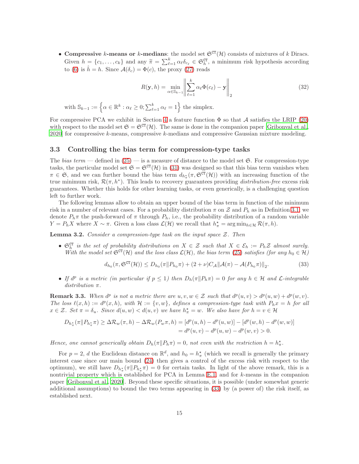• Compressive k-means or k-medians: the model set  $\mathfrak{S}^{CT}(\mathcal{H})$  consists of mixtures of k Diracs. Given  $h = \{c_1, \ldots, c_k\}$  and any  $\widetilde{\pi} = \sum_{\ell=1}^k \alpha_\ell \delta_{c_\ell} \in \mathfrak{S}_h^{\mathbb{C}^T}$ , a minimum risk hypothesis according to (6) is  $h = h$ . Since  $\mathcal{A}(\delta_c) = \Phi(c)$ , the proxy (27) reads

$$
R(\mathbf{y},h) = \min_{\alpha \in \mathbb{S}_{k-1}} \left\| \sum_{\ell=1}^{k} \alpha_{\ell} \Phi(c_{\ell}) - \mathbf{y} \right\|_{2}
$$
 (32)

with  $\mathbb{S}_{k-1} := \left\{ \alpha \in \mathbb{R}^k : \alpha_{\ell} \geq 0; \sum_{\ell=1}^k \alpha_{\ell} = 1 \right\}$  the simplex.

For compressive PCA we exhibit in Section 4 a feature function  $\Phi$  so that A satisfies the LRIP (20) with respect to the model set  $\mathfrak{S} = \mathfrak{S}^{\mathbb{C}^{\mathsf{T}}}(\mathcal{H})$ . The same is done in the companion paper [Gribonval et al.,  $2020$  for compressive k-means, compressive k-medians and compressive Gaussian mixture modeling.

#### 3.3 Controlling the bias term for compression-type tasks

The bias term — defined in  $(25)$  — is a measure of distance to the model set  $\mathfrak{S}$ . For compression-type tasks, the particular model set  $\mathfrak{S} = \mathfrak{S}^{\text{CT}}(\mathcal{H})$  in (31) was designed so that this bias term vanishes when  $\pi \in \mathfrak{S}$ , and we can further bound the bias term  $d_{h^*_{\pi}}(\pi, \mathfrak{S}^{\mathfrak{C}^{\mathsf{T}}}(\mathcal{H}))$  with an increasing function of the true minimum risk,  $\mathcal{R}(\pi, h^*)$ . This leads to recovery guarantees providing *distribution-free* excess risk guarantees. Whether this holds for other learning tasks, or even generically, is a challenging question left to further work.

The following lemmas allow to obtain an upper bound of the bias term in function of the minimum risk in a number of relevant cases. For a probability distribution  $\pi$  on Z and  $P_h$  as in Definition 3.1, we denote  $P_h\pi$  the push-forward of  $\pi$  through  $P_h$ , i.e., the probability distribution of a random variable  $Y = P_h X$  where  $X \sim \pi$ . Given a loss class  $\mathcal{L}(\mathcal{H})$  we recall that  $h_{\pi}^* = \arg \min_{h \in \mathcal{H}} \mathcal{R}(\pi, h)$ .

**Lemma 3.2.** Consider a compression-type task on the input space  $Z$ . Then

•  $\mathfrak{S}_h^{\mathsf{CT}}$  is the set of probability distributions on  $X \in \mathcal{Z}$  such that  $X \in \mathcal{E}_h := P_h \mathcal{Z}$  almost surely. With the model set  $\mathfrak{S}^{CT}(\mathcal{H})$  and the loss class  $\mathcal{L}(\mathcal{H})$ , the bias term (25) satisfies (for any  $h_0 \in \mathcal{H}$ )

$$
d_{h_0}(\pi, \mathfrak{S}^{\mathfrak{C}\mathbf{T}}(\mathcal{H})) \le D_{h_0}(\pi \| P_{h_0} \pi) + (2 + \nu) C_{\mathcal{A}} \| \mathcal{A}(\pi) - \mathcal{A}(P_{h_0} \pi) \|_2.
$$
 (33)

• If  $d^p$  is a metric (in particular if  $p \leq 1$ ) then  $D_h(\pi||P_h\pi) = 0$  for any  $h \in \mathcal{H}$  and  $\mathcal{L}\text{-integrable}$ distribution π.

**Remark 3.3.** When  $d^p$  is not a metric there are  $u, v, w \in \mathcal{Z}$  such that  $d^p(u, v) > d^p(u, w) + d^p(w, v)$ . The loss  $\ell(x,h) := d^p(x,h)$ , with  $\mathcal{H} := \{v,w\}$ , defines a compression-type task with  $P_h x = h$  for all  $x \in \mathcal{Z}$ . Set  $\pi = \delta_u$ . Since  $d(u, w) < d(u, v)$  we have  $h^*_{\pi} = w$ . We also have for  $h = v \in \mathcal{H}$ 

$$
D_{h_{\pi}^*}(\pi \| P_{h_{\pi}^*} \pi) \geq \Delta \mathcal{R}_w(\pi, h) - \Delta \mathcal{R}_w(P_w \pi, h) = [d^p(u, h) - d^p(u, w)] - [d^p(w, h) - d^p(w, w)]
$$
  
=  $d^p(u, v) - d^p(u, w) - d^p(w, v) > 0$ .

Hence, one cannot generically obtain  $D_h(\pi \| P_h \pi) = 0$ , not even with the restriction  $h = h_{\pi}^*$ .

For  $p=2$ , d the Euclidean distance on  $\mathbb{R}^d$ , and  $h_0 = h^*_{\pi}$  (which we recall is generally the primary interest case since our main bound (24) then gives a control of the excess risk with respect to the optimum), we still have  $D_{h_{\pi}^*}(\pi \| P_{h_{\pi}^*} \pi) = 0$  for certain tasks. In light of the above remark, this is a nontrivial property which is established for PCA in Lemma E.1, and for k-means in the companion paper [Gribonval et al., 2020]. Beyond these specific situations, it is possible (under somewhat generic additional assumptions) to bound the two terms appearing in (33) by (a power of) the risk itself, as established next.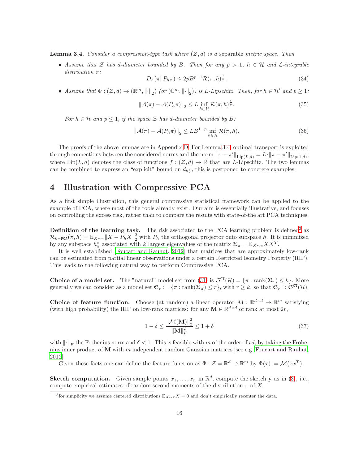**Lemma 3.4.** Consider a compression-type task where  $(\mathcal{Z}, d)$  is a separable metric space. Then

• Assume that Z has d-diameter bounded by B. Then for any  $p > 1$ ,  $h \in H$  and  $\mathcal{L}\text{-integrable}$ distribution π: 1

$$
D_h(\pi \| P_h \pi) \le 2p B^{p-1} \mathcal{R}(\pi, h)^{\frac{1}{p}}.
$$
\n
$$
(34)
$$

• Assume that  $\Phi: (\mathcal{Z}, d) \to (\mathbb{R}^m, \|\cdot\|_2)$  (or  $(\mathbb{C}^m, \|\cdot\|_2)$ ) is L-Lipschitz. Then, for  $h \in \mathcal{H}'$  and  $p \geq 1$ :

$$
\|\mathcal{A}(\pi) - \mathcal{A}(P_h \pi)\|_2 \le L \inf_{h \in \mathcal{H}} \mathcal{R}(\pi, h)^{\frac{1}{p}}.
$$
 (35)

For  $h \in \mathcal{H}$  and  $p \leq 1$ , if the space  $\mathcal Z$  has d-diameter bounded by B:

$$
\|\mathcal{A}(\pi) - \mathcal{A}(P_h \pi)\|_2 \leq L B^{1-p} \inf_{h \in \mathcal{H}} \mathcal{R}(\pi, h). \tag{36}
$$

The proofs of the above lemmas are in Appendix D. For Lemma 3.4, optimal transport is exploited through connections between the considered norms and the norm  $\|\pi - \pi'\|_{\text{Lip}(L,d)} = L \cdot \|\pi - \pi'\|_{\text{Lip}(1,d)}$ , where  $\text{Lip}(L, d)$  denotes the class of functions  $f : (\mathcal{Z}, d) \to \mathbb{R}$  that are L-Lipschitz. The two lemmas can be combined to express an "explicit" bound on  $d_{h_{\pi}^*}$ , this is postponed to concrete examples.

## 4 Illustration with Compressive PCA

As a first simple illustration, this general compressive statistical framework can be applied to the example of PCA, where most of the tools already exist. Our aim is essentially illustrative, and focuses on controlling the excess risk, rather than to compare the results with state-of-the art PCA techniques.

**Definition of the learning task.** The risk associated to the PCA learning problem is defined<sup>3</sup> as  $\mathcal{R}_{k-\texttt{PCA}}(\pi, h) = \mathbb{E}_{X \sim \pi} ||X - P_h X||_2^2$  with  $P_h$  the orthogonal projector onto subspace h. It is minimized by any subspace  $h^*_{\pi}$  associated with k largest eigenvalues of the matrix  $\Sigma_{\pi} = \mathbb{E}_{X \sim \pi} X X^T$ .

It is well established [Foucart and Rauhut, 2012] that matrices that are approximately low-rank can be estimated from partial linear observations under a certain Restricted Isometry Property (RIP). This leads to the following natural way to perform Compressive PCA.

**Choice of a model set.** The "natural" model set from (31) is  $\mathfrak{S}^{\mathfrak{CT}}(\mathcal{H}) = {\pi : \text{rank}(\Sigma_{\pi}) \leq k}.$  More generally we can consider as a model set  $\mathfrak{S}_r := {\pi : \text{rank}(\Sigma_\pi) \leq r}$ , with  $r \geq k$ , so that  $\mathfrak{S}_r \supset \mathfrak{S}^{\text{CT}}(\mathcal{H})$ .

Choice of feature function. Choose (at random) a linear operator  $\mathcal{M}: \mathbb{R}^{d \times d} \to \mathbb{R}^m$  satisfying (with high probability) the RIP on low-rank matrices: for any  $\mathbf{M} \in \mathbb{R}^{d \times d}$  of rank at most  $2r$ ,

$$
1 - \delta \le \frac{\|\mathcal{M}(\mathbf{M})\|_2^2}{\|\mathbf{M}\|_F^2} \le 1 + \delta
$$
\n(37)

with  $\|\cdot\|_F$  the Frobenius norm and  $\delta < 1$ . This is feasible with m of the order of rd, by taking the Frobenius inner product of  $M$  with m independent random Gaussian matrices [see e.g. Foucart and Rauhut, 2012].

Given these facts one can define the feature function as  $\Phi : \mathcal{Z} = \mathbb{R}^d \to \mathbb{R}^m$  by  $\Phi(x) := \mathcal{M}(xx^T)$ .

**Sketch computation.** Given sample points  $x_1, \ldots, x_n$  in  $\mathbb{R}^d$ , compute the sketch **y** as in (3), i.e., compute empirical estimates of random second moments of the distribution  $\pi$  of X.

<sup>&</sup>lt;sup>3</sup>for simplicity we assume centered distributions  $\mathbb{E}_{X \sim \pi} X = 0$  and don't empirically recenter the data.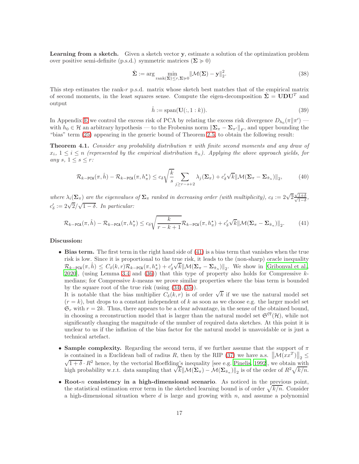Learning from a sketch. Given a sketch vector y, estimate a solution of the optimization problem over positive semi-definite (p.s.d.) symmetric matrices ( $\Sigma \ge 0$ )

$$
\hat{\Sigma} := \arg \min_{\text{rank}(\Sigma) \le r, \Sigma \succcurlyeq 0} \|\mathcal{M}(\Sigma) - \mathbf{y}\|_2^2.
$$
\n(38)

This step estimates the rank-r p.s.d. matrix whose sketch best matches that of the empirical matrix of second moments, in the least squares sense. Compute the eigen-decomposition  $\hat{\Sigma} = \mathbf{UDU}^T$  and output

$$
\hat{h} := \text{span}(\mathbf{U}(:,1:k)).\tag{39}
$$

In Appendix E we control the excess risk of PCA by relating the excess risk divergence  $D_{h_0}(\pi|\pi')$ with  $h_0 \in \mathcal{H}$  an arbitrary hypothesis — to the Frobenius norm  $\|\Sigma_\pi - \Sigma_{\pi'}\|_F$ , and upper bounding the "bias" term (25) appearing in the generic bound of Theorem 2.5, to obtain the following result:

**Theorem 4.1.** Consider any probability distribution  $\pi$  with finite second moments and any draw of  $x_i, 1 \leq i \leq n$  (represented by the empirical distribution  $\hat{\pi}_n$ ). Applying the above approach yields, for any  $s, 1 \leq s \leq r$ :

$$
\mathcal{R}_{k-\text{PCA}}(\pi,\hat{h}) - \mathcal{R}_{k-\text{PCA}}(\pi,h_{\pi}^{\star}) \le c_{\delta} \sqrt{\frac{k}{s}} \sum_{j \ge r-s+2} \lambda_j(\mathbf{\Sigma}_{\pi}) + c_{\delta}'\sqrt{k} \|\mathcal{M}(\mathbf{\Sigma}_{\pi} - \mathbf{\Sigma}_{\hat{\pi}_n})\|_2, \tag{40}
$$

where  $\lambda_i(\Sigma_\pi)$  are the eigenvalues of  $\Sigma_\pi$  ranked in decreasing order (with multiplicity),  $c_\delta := 2\sqrt{2} \frac{\sqrt{2}}{\sqrt{2}}$  $\frac{\sqrt{1+\delta}}{\sqrt{1-\delta}}$  $\frac{1+0}{1-\delta}$ ,  $c'_{\delta} := 2\sqrt{2}/\sqrt{1-\delta}$ . In particular:

$$
\mathcal{R}_{k-\text{PCA}}(\pi,\hat{h}) - \mathcal{R}_{k-\text{PCA}}(\pi,h_{\pi}^{*}) \le c_{\delta} \sqrt{\frac{k}{r-k+1}} \mathcal{R}_{k-\text{PCA}}(\pi,h_{\pi}^{*}) + c_{\delta}'\sqrt{k} \|\mathcal{M}(\mathbf{\Sigma}_{\pi}-\mathbf{\Sigma}_{\hat{\pi}_{n}})\|_{2}.
$$
 (41)

#### Discussion:

• Bias term. The first term in the right hand side of (41) is a bias term that vanishes when the true risk is low. Since it is proportional to the true risk, it leads to the (non-sharp) oracle inequality  $\mathcal{R}_{k-\text{PCA}}(\pi, \hat{h}) \leq C_{\delta}(k, r)\mathcal{R}_{k-\text{PCA}}(\pi, h_{\pi}^{*}) + c'_{\delta}\sqrt{k}\|\mathcal{M}(\Sigma_{\pi} - \Sigma_{\hat{\pi}_{n}})\|_{2}$ . We show in [Gribonval et al., 2020], (using Lemma 3.4 and (36)) that this type of property also holds for Compressive  $k$ medians; for Compressive k-means we prove similar properties where the bias term is bounded by the square root of the true risk (using (34),(35)).

It is notable that the bias multiplier  $C_{\delta}(k,r)$  is of order  $\sqrt{k}$  if we use the natural model set  $(r = k)$ , but drops to a constant independent of k as soon as we choose e.g. the larger model set  $\mathfrak{S}_r$  with  $r = 2k$ . Thus, there appears to be a clear advantage, in the sense of the obtained bound, in choosing a reconstruction model that is larger than the natural model set  $\mathfrak{S}^{CT}(\mathcal{H})$ , while not significantly changing the magnitude of the number of required data sketches. At this point it is unclear to us if the inflation of the bias factor for the natural model is unavoidable or is just a technical artefact.

- Sample complexity. Regarding the second term, if we further assume that the support of  $\pi$ is contained in a Euclidean ball of radius R, then by the RIP (37) we have a.s.  $\left\|\mathcal{M}(xx^T)\right\|_2 \leq$  $\sqrt{1+\delta} \cdot R^2$  hence, by the vectorial Hoeffding's inequality [see e.g. Pinelis, 1992], we obtain with high probability w.r.t. data sampling that  $\sqrt{k}$   $\left\|\mathcal{M}(\Sigma_{\pi}) - \mathcal{M}(\Sigma_{\hat{\pi}_n})\right\|_2$  is of the order of  $R^2 \sqrt{k/n}$ .
- Root-n consistency in a high-dimensional scenario. As noticed in the previous point, the statistical estimation error term in the sketched learning bound is of order  $\sqrt{k/n}$ . Consider a high-dimensional situation where  $d$  is large and growing with  $n$ , and assume a polynomial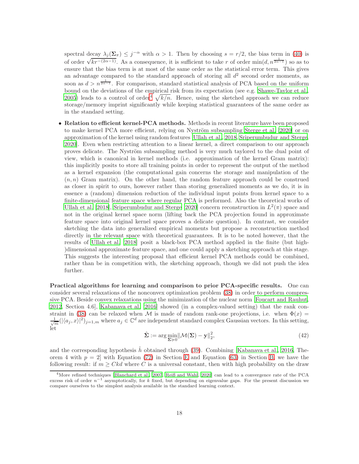spectral decay  $\lambda_j(\Sigma_\pi) \leq j^{-\alpha}$  with  $\alpha > 1$ . Then by choosing  $s = r/2$ , the bias term in (40) is of order  $\sqrt{kr^{-(2\alpha-1)}}$ . As a consequence, it is sufficient to take r of order min $(d, n^{\frac{1}{2\alpha-1}})$  so as to ensure that the bias term is at most of the same order as the statistical error term. This gives an advantage compared to the standard approach of storing all  $d^2$  second order moments, as soon as  $d > n^{\frac{1}{2\alpha - 1}}$ . For comparison, standard statistical analysis of PCA based on the uniform bound on the deviations of the empirical risk from its expectation (see e.g. Shawe-Taylor et al., 2005) leads to a control of order<sup>4</sup>  $\sqrt{k/n}$ . Hence, using the sketched approach we can reduce storage/memory imprint significantly while keeping statistical guarantees of the same order as in the standard setting.

• Relation to efficient kernel-PCA methods. Methods in recent literature have been proposed to make kernel PCA more efficient, relying on Nyström subsampling Sterge et al. [2020] or on approximation of the kernel using random features [Ullah et al., 2018, Sriperumbudur and Sterge, 2020]. Even when restricting attention to a linear kernel, a direct comparison to our approach proves delicate. The Nyström subsampling method is very much taylored to the dual point of view, which is canonical in kernel methods (i.e. approximation of the kernel Gram matrix): this implicitly posits to store all training points in order to represent the output of the method as a kernel expansion (the computational gain concerns the storage and manipulation of the  $(n, n)$  Gram matrix). On the other hand, the random feature approach could be construed as closer in spirit to ours, however rather than storing generalized moments as we do, it is in essence a (random) dimension reduction of the individual input points from kernel space to a finite-dimensional feature space where regular PCA is performed. Also the theoretical works of Ullah et al. [2018], Sriperumbudur and Sterge [2020] concern reconstruction in  $L^2(\pi)$  space and not in the original kernel space norm (lifting back the PCA projection found in approximate feature space into original kernel space proves a delicate question). In contrast, we consider sketching the data into generalized empirical moments but propose a reconstruction method directly in the relevant space with theoretical guarantees. It is to be noted however, that the results of Ullah et al. [2018] posit a black-box PCA method applied in the finite (but high- )dimensional approximate feature space, and one could apply a sketching approach at this stage. This suggests the interesting proposal that efficient kernel PCA methods could be combined, rather than be in competition with, the sketching approach, though we did not push the idea further.

Practical algorithms for learning and comparison to prior PCA-specific results. One can consider several relaxations of the nonconvex optimization problem (38) in order to perform compressive PCA. Beside convex relaxations using the minimization of the nuclear norm [Foucart and Rauhut, 2012, Section 4.6], Kabanava et al. [2016] showed (in a complex-valued setting) that the rank constraint in (38) can be relaxed when M is made of random rank-one projections, i.e. when  $\Phi(x)$  =  $\frac{1}{\sqrt{m}}(|\langle a_j, x \rangle|^2)_{j=1,m}$  where  $a_j \in \mathbb{C}^d$  are independent standard complex Gaussian vectors. In this setting, let

$$
\hat{\Sigma} := \arg\min_{\Sigma \succcurlyeq 0} \|\mathcal{M}(\Sigma) - \mathbf{y}\|_2^2,\tag{42}
$$

and the corresponding hypothesis  $\hat{h}$  obtained through (39). Combining [Kabanava et al., 2016, Theorem 4 with  $p = 2$  with Equation (72) in Section E and Equation (63) in Section B, we have the following result: if  $m \geq Ckd$  where C is a universal constant, then with high probability on the draw

<sup>&</sup>lt;sup>4</sup>More refined techniques [Blanchard et al., 2007, Reiß and Wahl, 2020] can lead to a convergence rate of the PCA excess risk of order  $n^{-1}$  asymptotically, for k fixed, but depending on eigenvalue gaps. For the present discussion we compare ourselves to the simplest analysis available in the standard learning context.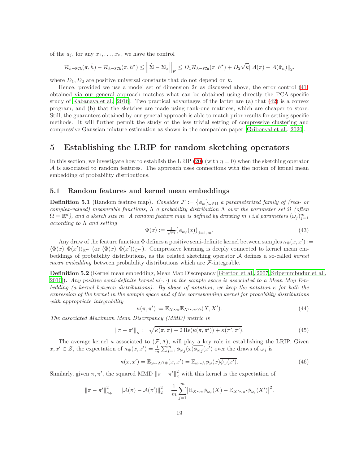of the  $a_j$ , for any  $x_1, \ldots, x_n$ , we have the control

$$
\mathcal{R}_{k-\text{PCA}}(\pi,\hat{h}) - \mathcal{R}_{k-\text{PCA}}(\pi,h^\star) \leq \left\|\hat{\Sigma} - \Sigma_{\pi}\right\|_F \leq D_1 \mathcal{R}_{k-\text{PCA}}(\pi,h^\star) + D_2 \sqrt{k} \|\mathcal{A}(\pi) - \mathcal{A}(\hat{\pi}_n)\|_2,
$$

where  $D_1, D_2$  are positive universal constants that do not depend on k.

Hence, provided we use a model set of dimension  $2r$  as discussed above, the error control  $(41)$ obtained via our general approach matches what can be obtained using directly the PCA-specific study of Kabanava et al. [2016]. Two practical advantages of the latter are (a) that (42) is a convex program, and (b) that the sketches are made using rank-one matrices, which are cheaper to store. Still, the guarantees obtained by our general approach is able to match prior results for setting-specific methods. It will further permit the study of the less trivial setting of compressive clustering and compressive Gaussian mixture estimation as shown in the companion paper [Gribonval et al., 2020].

## 5 Establishing the LRIP for random sketching operators

In this section, we investigate how to establish the LRIP (20) (with  $\eta = 0$ ) when the sketching operator  $A$  is associated to random features. The approach uses connections with the notion of kernel mean embedding of probability distributions.

#### 5.1 Random features and kernel mean embeddings

**Definition 5.1** (Random feature map). Consider  $\mathcal{F} := {\phi_\omega}_{\omega \in \Omega}$  a parameterized family of (real- or complex-valued) measurable functions,  $\Lambda$  a probability distribution  $\Lambda$  over the parameter set  $\Omega$  (often  $\Omega = \mathbb{R}^d$ ), and a sketch size m. A random feature map is defined by drawing m i.i.d parameters  $(\omega_j)_{j=1}^m$  $according to  $\Lambda$  and setting$ 

$$
\Phi(x) := \frac{1}{\sqrt{m}} \big( \phi_{\omega_j}(x) \big)_{j=1,m}.\tag{43}
$$

Any draw of the feature function  $\Phi$  defines a positive semi-definite kernel between samples  $\kappa_{\Phi}(x, x') :=$  $\langle \Phi(x), \Phi(x') \rangle_{\mathbb{R}^m}$  (or  $\langle \Phi(x), \Phi(x') \rangle_{\mathbb{C}^m}$ ). Compressive learning is deeply connected to kernel mean embeddings of probability distributions, as the related sketching operator  $A$  defines a so-called kernel *mean embedding* between probability distributions which are  $\mathcal{F}\text{-integrable.}$ 

Definition 5.2 (Kernel mean embedding, Mean Map Discrepancy [Gretton et al., 2007, Sriperumbudur et al., 2010]). Any positive semi-definite kernel  $\kappa(\cdot, \cdot)$  in the sample space is associated to a Mean Map Embedding (a kernel between distributions). By abuse of notation, we keep the notation  $\kappa$  for both the expression of the kernel in the sample space and of the corresponding kernel for probability distributions with appropriate integrability

$$
\kappa(\pi, \pi') := \mathbb{E}_{X \sim \pi} \mathbb{E}_{X' \sim \pi'} \kappa(X, X'). \tag{44}
$$

The associated Maximum Mean Discrepancy (MMD) metric is

$$
\|\pi - \pi'\|_{\kappa} := \sqrt{\kappa(\pi, \pi) - 2 \operatorname{Re}(\kappa(\pi, \pi')) + \kappa(\pi', \pi')}.
$$
\n(45)

The average kernel  $\kappa$  associated to  $(\mathcal{F}, \Lambda)$ , will play a key role in establishing the LRIP. Given  $x, x' \in \mathcal{Z}$ , the expectation of  $\kappa_{\Phi}(x, x') = \frac{1}{m} \sum_{j=1}^{m} \phi_{\omega_j}(x) \overline{\phi_{\omega_j}}(x')$  over the draws of  $\omega_j$  is

$$
\kappa(x, x') = \mathbb{E}_{\omega \sim \Lambda} \kappa_{\Phi}(x, x') = \mathbb{E}_{\omega \sim \Lambda} \phi_{\omega}(x) \overline{\phi_{\omega}(x')}.
$$
\n(46)

Similarly, given  $\pi, \pi'$ , the squared MMD  $\|\pi - \pi'\|_{\kappa}^2$  with this kernel is the expectation of

$$
\|\pi - \pi'\|^2_{\kappa_{\Phi}} = \|\mathcal{A}(\pi) - \mathcal{A}(\pi')\|^2_2 = \frac{1}{m} \sum_{j=1}^m \left| \mathbb{E}_{X \sim \pi} \phi_{\omega_j}(X) - \mathbb{E}_{X' \sim \pi'} \phi_{\omega_j}(X') \right|^2.
$$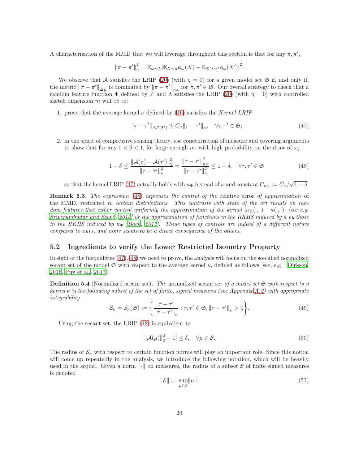A characterization of the MMD that we will leverage throughout this section is that for any  $\pi, \pi'$ ,

$$
\|\pi-\pi'\|^2_{\kappa}=\mathbb{E}_{\omega\sim\Lambda}|\mathbb{E}_{X\sim\pi}\phi_{\omega}(X)-\mathbb{E}_{X'\sim\pi'}\phi_{\omega}(X')|^2.
$$

We observe that A satisfies the LRIP (20) (with  $\eta = 0$ ) for a given model set G if, and only if, the metric  $\|\pi - \pi'\|_{\Delta \mathcal{L}}$  is dominated by  $\|\pi - \pi'\|_{\kappa_{\Phi}}$  for  $\pi, \pi' \in \mathfrak{S}$ . Our overall strategy to check that a random feature function  $\Phi$  defined by  $\mathcal F$  and  $\Lambda$  satisfies the LRIP (20) (with  $\eta = 0$ ) with controlled sketch dimension  $m$  will be to:

1. prove that the average kernel  $\kappa$  defined by (46) satisfies the Kernel LRIP

$$
\|\tau - \tau'\|_{\Delta \mathcal{L}(\mathcal{H})} \le C_{\kappa} \|\tau - \tau'\|_{\kappa}, \quad \forall \tau, \tau' \in \mathfrak{S};
$$
\n(47)

2. in the spirit of compressive sensing theory, use concentration of measure and covering arguments to show that for any  $0 < \delta < 1$ , for large enough m, with high probability on the draw of  $\omega_i$ ,

$$
1 - \delta \le \frac{\|\mathcal{A}(\tau) - \mathcal{A}(\tau')\|_2^2}{\|\tau - \tau'\|_{\kappa}^2} = \frac{\|\tau - \tau'\|_{\kappa_\Phi}^2}{\|\tau - \tau'\|_{\kappa}^2} \le 1 + \delta, \quad \forall \tau, \tau' \in \mathfrak{S}
$$
(48)

so that the kernel LRIP (47) actually holds with  $\kappa_{\Phi}$  instead of  $\kappa$  and constant  $C_{\kappa_{\Phi}} := C_{\kappa}/\sqrt{1-\delta}$ .

**Remark 5.3.** The expression (48) expresses the control of the relative error of approximation of the MMD, restricted to certain distributions. This contrasts with state of the art results on random features that either control uniformly the approximation of the kernel  $|\kappa_{\Phi}(\cdot, \cdot) - \kappa(\cdot, \cdot)|$  [see e.g. Sriperumbudur and Szabó, 2015] or the approximation of functions in the RKHS induced by  $\kappa$  by those in the RKHS induced by  $\kappa_{\Phi}$  [Bach, 2017]. These types of controls are indeed of a different nature compared to ours, and none seems to be a direct consequence of the others.

#### 5.2 Ingredients to verify the Lower Restricted Isometry Property

In sight of the inequalities (47),(48) we need to prove, the analysis will focus on the so-called normalized secant set of the model  $\mathfrak{S}$  with respect to the average kernel  $\kappa$ , defined as follows [see, e.g. Dirksen, 2016, Puy et al., 2017]:

**Definition 5.4** (Normalized secant set). The normalized secant set of a model set  $\mathfrak{S}$  with respect to a kernel  $\kappa$  is the following subset of the set of finite, signed measures (see Appendix A.2) with appropriate integrability

$$
\mathcal{S}_{\kappa} = \mathcal{S}_{\kappa}(\mathfrak{S}) := \left\{ \frac{\tau - \tau'}{\|\tau - \tau'\|_{\kappa}} : \tau, \tau' \in \mathfrak{S}, \|\tau - \tau'\|_{\kappa} > 0 \right\}.
$$
 (49)

Using the secant set, the LRIP (48) is equivalent to

$$
\left| \|\mathcal{A}(\mu)\|_{2}^{2} - 1 \right| \leq \delta, \quad \forall \mu \in \mathcal{S}_{\kappa}
$$
\n(50)

The radius of  $\mathcal{S}_{\kappa}$  with respect to certain function norms will play an important role. Since this notion will come up repeatedly in the analysis, we introduce the following notation, which will be heavily used in the sequel. Given a norm  $\lVert \cdot \rVert$  on measures, the radius of a subset E of finite signed measures is denoted

$$
\|\mathcal{E}\| := \sup_{\mu \in \mathcal{E}} \|\mu\|.\tag{51}
$$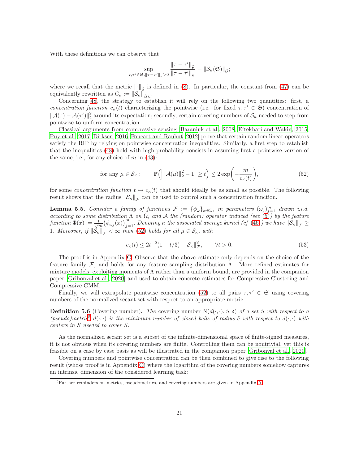With these definitions we can observe that

$$
\sup_{\tau,\tau' \in \mathfrak{S}, ||\tau - \tau'||_{\kappa} > 0} \frac{||\tau - \tau'||_{\mathcal{G}}}{||\tau - \tau'||_{\kappa}} = ||\mathcal{S}_{\kappa}(\mathfrak{S})||_{\mathcal{G}};
$$

where we recall that the metric  $\|\cdot\|_{\mathcal{G}}$  is defined in (8). In particular, the constant from (47) can be equivalently rewritten as  $C_{\kappa} := \|\mathcal{S}_{\kappa}\|_{\Delta \mathcal{L}}.$ 

Concerning 48, the strategy to establish it will rely on the following two quantities: first, a concentration function  $c_{\kappa}(t)$  characterizing the pointwise (i.e. for fixed  $\tau, \tau' \in \mathfrak{S}$ ) concentration of  $\|\mathcal{A}(\tau) - \mathcal{A}(\tau')\|_2^2$ <sup>2</sup> around its expectation; secondly, certain covering numbers of  $\mathcal{S}_{\kappa}$  needed to step from pointwise to uniform concentration.

Classical arguments from compressive sensing [Baraniuk et al., 2008, Eftekhari and Wakin, 2015, Puy et al., 2017, Dirksen, 2016, Foucart and Rauhut, 2012] prove that certain random linear operators satisfy the RIP by relying on pointwise concentration inequalities. Similarly, a first step to establish that the inequalities (48) hold with high probability consists in assuming first a pointwise version of the same, i.e., for any choice of  $m$  in  $(43)$ :

for any 
$$
\mu \in \mathcal{S}_{\kappa}
$$
:  $\mathbb{P}\left(\left|\|\mathcal{A}(\mu)\|_{2}^{2} - 1\right| \geq t\right) \leq 2 \exp\left(-\frac{m}{c_{\kappa}(t)}\right),$  (52)

for some concentration function  $t \mapsto c_{\kappa}(t)$  that should ideally be as small as possible. The following result shows that the radius  $\|\mathcal{S}_{\kappa}\|_{\mathcal{F}}$  can be used to control such a concentration function.

**Lemma 5.5.** Consider a family of functions  $\mathcal{F} := {\phi_{\omega}}_{\omega \in \Omega}$ , m parameters  $(\omega_j)_{j=1}^m$  drawn i.i.d. according to some distribution  $\Lambda$  on  $\Omega$ , and  $\Lambda$  the (random) operator induced (see (5)) by the feature  $\textit{function $\Phi(x):=\frac{1}{\sqrt{m}}(\phi_{\omega_j}(x))_{j=1}^m$. Denoting $\kappa$ the associated average kernel (cf (46)) we have $\|\mathcal{S}_\kappa\|_{\mathcal{F}}\geq 0$.}$ 1. Moreover, if  $\|\mathcal{S}_{\kappa}\|_{\mathcal{F}} < \infty$  then (52) holds for all  $\mu \in \mathcal{S}_{\kappa}$ , with

$$
c_{\kappa}(t) \le 2t^{-2}(1+t/3) \cdot \|\mathcal{S}_{\kappa}\|_{\mathcal{F}}^2, \qquad \forall t > 0.
$$
 (53)

The proof is in Appendix C. Observe that the above estimate only depends on the choice of the feature family F, and holds for any feature sampling distribution Λ. More refined estimates for mixture models, exploiting moments of Λ rather than a uniform bound, are provided in the companion paper [Gribonval et al., 2020] and used to obtain concrete estimates for Compressive Clustering and Compressive GMM.

Finally, we will extrapolate pointwise concentration (52) to all pairs  $\tau, \tau' \in \mathfrak{S}$  using covering numbers of the normalized secant set with respect to an appropriate metric.

**Definition 5.6** (Covering number). The covering number  $N(d(\cdot, \cdot), S, \delta)$  of a set S with respect to a (pseudo)metric<sup>5</sup> d( $\cdot, \cdot$ ) is the minimum number of closed balls of radius  $\delta$  with respect to d( $\cdot, \cdot$ ) with centers in S needed to cover S.

As the normalized secant set is a subset of the infinite-dimensional space of finite-signed measures, it is not obvious when its covering numbers are finite. Controlling them can be nontrivial, yet this is feasible on a case by case basis as will be illustrated in the companion paper [Gribonval et al., 2020].

Covering numbers and pointwise concentration can be then combined to give rise to the following result (whose proof is in Appendix C) where the logarithm of the covering numbers somehow captures an intrinsic dimension of the considered learning task:

<sup>5</sup>Further reminders on metrics, pseudometrics, and covering numbers are given in Appendix A.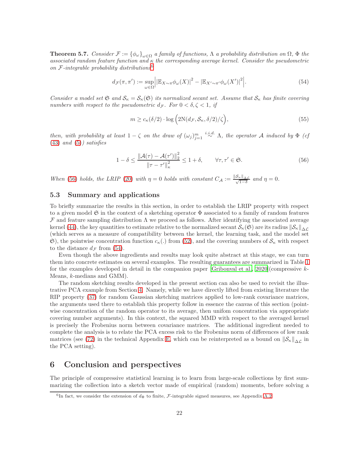**Theorem 5.7.** Consider  $\mathcal{F} := {\phi_\omega}_{\omega \in \Omega}$  a family of functions,  $\Lambda$  a probability distribution on  $\Omega$ ,  $\Phi$  the associated random feature function and  $\kappa$  the corresponding average kernel. Consider the pseudometric on  $F$ -integrable probability distributions<sup>6</sup>

$$
d_{\mathcal{F}}(\pi, \pi') := \sup_{\omega \in \Omega} \Big| \left| \mathbb{E}_{X \sim \pi} \phi_{\omega}(X) \right|^2 - \left| \mathbb{E}_{X' \sim \pi'} \phi_{\omega}(X') \right|^2 \Big|.
$$
 (54)

Consider a model set  $\mathfrak{S}$  and  $\mathcal{S}_\kappa = \mathcal{S}_\kappa(\mathfrak{S})$  its normalized secant set. Assume that  $\mathcal{S}_\kappa$  has finite covering numbers with respect to the pseudometric  $d_{\mathcal{F}}$ . For  $0 < \delta, \zeta < 1$ , if

$$
m \ge c_{\kappa}(\delta/2) \cdot \log\left(2\mathrm{N}(d_{\mathcal{F}}, \mathcal{S}_{\kappa}, \delta/2)/\zeta\right),\tag{55}
$$

then, with probability at least  $1-\zeta$  on the draw of  $(\omega_j)_{j=1}^m \stackrel{i.i.d.}{\sim} \Lambda$ , the operator A induced by  $\Phi$  (cf  $(43)$  and  $(5)$ ) satisfies

$$
1 - \delta \le \frac{\|\mathcal{A}(\tau) - \mathcal{A}(\tau')\|_2^2}{\|\tau - \tau'\|_{\kappa}^2} \le 1 + \delta, \qquad \forall \tau, \tau' \in \mathfrak{S}.
$$
 (56)

When (56) holds, the LRIP (20) with  $\eta = 0$  holds with constant  $C_A := \frac{\|\mathcal{S}_{\kappa}\|_{\Delta \mathcal{L}}}{\sqrt{1-\delta}}$  and  $\eta = 0$ .

#### 5.3 Summary and applications

To briefly summarize the results in this section, in order to establish the LRIP property with respect to a given model  $\mathfrak S$  in the context of a sketching operator  $\Phi$  associated to a family of random features  $\mathcal F$  and feature sampling distribution  $\Lambda$  we proceed as follows. After identifying the associated average kernel (44), the key quantities to estimate relative to the normalized secant  $\mathcal{S}_{\kappa}(\mathfrak{S})$  are its radius  $\|\mathcal{S}_{\kappa}\|_{\Delta\mathcal{L}}$ (which serves as a measure of compatibility between the kernel, the learning task, and the model set  $\mathfrak{S}$ ), the pointwise concentration function  $c_{\kappa}$ (.) from (52), and the covering numbers of  $\mathcal{S}_{\kappa}$  with respect to the distance  $d_{\mathcal{F}}$  from (54).

Even though the above ingredients and results may look quite abstract at this stage, we can turn them into concrete estimates on several examples. The resulting guarantees are summarized in Table 1 for the examples developed in detail in the companion paper [Gribonval et al., 2020](compressive  $k$ -Means, k-medians and GMM).

The random sketching results developed in the present section can also be used to revisit the illustrative PCA example from Section 4. Namely, while we have directly lifted from existing literature the RIP property (37) for random Gaussian sketching matrices applied to low-rank covariance matrices, the arguments used there to establish this property follow in essence the canvas of this section (pointwise concentration of the random operator to its average, then unifom concentration via appropriate covering number arguments). In this context, the squared MMD with respect to the averaged kernel is precisely the Frobenius norm between covariance matrices. The additional ingredient needed to complete the analysis is to relate the PCA excess risk to the Frobenius norm of differences of low rank matrices (see (72) in the technical Appendix E, which can be reinterpreted as a bound on  $\|\mathcal{S}_{\kappa}\|_{\Delta\mathcal{L}}$  in the PCA setting).

## 6 Conclusion and perspectives

The principle of compressive statistical learning is to learn from large-scale collections by first summarizing the collection into a sketch vector made of empirical (random) moments, before solving a

<sup>&</sup>lt;sup>6</sup>In fact, we consider the extension of  $d_{\Phi}$  to finite, *F*-integrable signed measures, see Appendix A.2.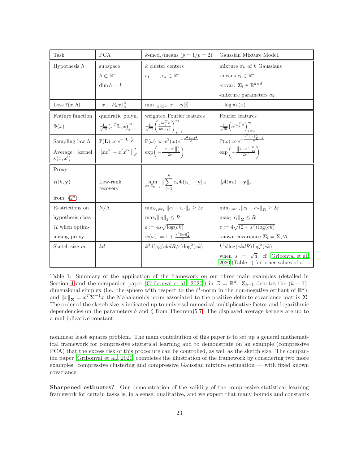| Task                                | <b>PCA</b>                                               | k-med./means $(p = 1/p = 2)$                                                                                                               | Gaussian Mixture Model.                                                                |
|-------------------------------------|----------------------------------------------------------|--------------------------------------------------------------------------------------------------------------------------------------------|----------------------------------------------------------------------------------------|
| Hypothesis $h$                      | subspace                                                 | $k$ cluster centers                                                                                                                        | mixture $\pi_h$ of k Gaussians                                                         |
|                                     | $h\subset\mathbb{R}^d$                                   | $c_1, \ldots, c_k \in \mathbb{R}^d$                                                                                                        | -means $c_l \in \mathbb{R}^d$                                                          |
|                                     | $\dim h = k$                                             |                                                                                                                                            | -covar. $\Sigma_l \in \mathbb{R}^{d \times d}$                                         |
|                                     |                                                          |                                                                                                                                            | -mixture parameters $\alpha_l$                                                         |
| Loss $\ell(x,h)$                    | $  x - P_hx  _2^2$                                       | $\min_{1 \leq l \leq k}   x - c_l  _2^p$                                                                                                   | $-\log \pi_h(x)$                                                                       |
| Feature function                    | quadratic polyn.                                         | weighted Fourier features                                                                                                                  | Fourier features                                                                       |
| $\Phi(x)$                           | $\frac{1}{\sqrt{m}}(x^T \mathbf{L}_j x)_{i=1}^m$         | $\frac{1}{\sqrt{m}}\Bigg(\frac{e^{j\omega_{j}^{T}x}}{w(\omega_{j})}\Bigg)_{j=1}^{m}$                                                       | $\frac{1}{\sqrt{m}}\left(e^{j\omega_j^Tx}\right)_{j=1}^m$                              |
| Sampling law $\Lambda$              | $\mathbb{P}(\mathbf{L}) \propto e^{-\ \mathbf{L}\ _F^2}$ | $\mathbb{P}(\omega) \propto w^2(\omega)e^{-\frac{s^2  \omega  ^2}{2}}$                                                                     | $\mathbb{P}(\omega) \propto e^{-\frac{s^2   \omega  _{\Sigma^{-1}}^2}{2}}$             |
| kernel<br>Average<br>$\kappa(x,x')$ | $  xx^T - x'x'^T  _F^2$                                  | $\exp\left(-\frac{\ x-x'\ ^2_2}{2s^2}\right)$                                                                                              | $\exp\left(-\frac{\ x-x'\ _{\mathbf{\Sigma}}^2}{2s^2}\right)$                          |
| Proxy                               |                                                          |                                                                                                                                            |                                                                                        |
| R(h, y)                             | Low-rank<br>recovery                                     | $\min_{\alpha \in \mathbb{S}_{k-1}} \  \sum_{i=1}^{\infty} \alpha_i \Phi(c_i) - \mathbf{y} \ _2$ $\  \mathcal{A}(\pi_h) - \mathbf{y} \ _2$ |                                                                                        |
| from $(27)$                         |                                                          |                                                                                                                                            |                                                                                        |
| Restrictions on                     | N/A                                                      | $\min_{c_l \neq c_{l'}}   c_l - c_{l'}  _2 \geq 2\varepsilon$                                                                              | $\min_{c_l \neq c_{l'}}   c_l - c_{l'}  _{\Sigma} \geq 2\varepsilon$                   |
| hypothesis class                    |                                                          | $\max_l   c_l  _2 \leq R$                                                                                                                  | $\max_l   c_l  _{\Sigma} \leq R$                                                       |
| $\mathcal H$ when optim-            |                                                          | $\varepsilon := 4s\sqrt{\log(ek)}$                                                                                                         | $\varepsilon := 4\sqrt{(2+s^2)\log(ek)}$                                               |
| mizing proxy                        |                                                          | $w(\omega) := 1 + \frac{s^2 \ \omega\ _2^2}{4}$                                                                                            | known covariance $\Sigma_l = \Sigma, \forall l$                                        |
| Sketch size $m$                     | kd                                                       | $k^2d\log(ekdR/\varepsilon)\log^2(ek)$                                                                                                     | $k^2d\log(ekdR)\log^2(ek)$                                                             |
|                                     |                                                          |                                                                                                                                            | when $s = \sqrt{d}$ , cf [Gribonyal et al.,<br>$2020$ (Table 1) for other values of s. |

Table 1: Summary of the application of the framework on our three main examples (detailed in Section 4 and the companion paper [Gribonval et al., 2020]) in  $\mathcal{Z} = \mathbb{R}^d$ . S<sub>k-1</sub> denotes the  $(k-1)$ dimensional simplex (i.e. the sphere with respect to the  $\ell^1$ -norm in the non-negative orthant of  $\mathbb{R}^k$ ), and  $||x||_{\Sigma} = x^T \Sigma^{-1} x$  the Mahalanobis norm associated to the positive definite covariance matrix  $\Sigma$ . The order of the sketch size is indicated up to universal numerical multiplicative factor and logarithmic dependencies on the parameters  $\delta$  and  $\zeta$  from Theorem 5.7. The displayed average kernels are up to a multiplicative constant.

nonlinear least squares problem. The main contribution of this paper is to set up a general mathematical framework for compressive statistical learning and to demonstrate on an example (compressive PCA) that the excess risk of this procedure can be controlled, as well as the sketch size. The companion paper [Gribonval et al., 2020] completes the illustration of the framework by considering two more examples: compressive clustering and compressive Gaussian mixture estimation — with fixed known covariance.

Sharpened estimates? Our demonstration of the validity of the compressive statistical learning framework for certain tasks is, in a sense, qualitative, and we expect that many bounds and constants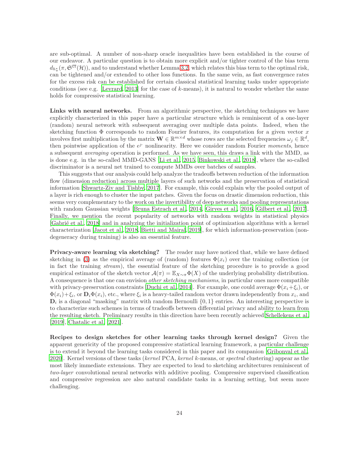are sub-optimal. A number of non-sharp oracle inequalities have been established in the course of our endeavor. A particular question is to obtain more explicit and/or tighter control of the bias term  $d_{h_{\pi}^{\star}}(\pi, \mathfrak{S}^{\mathbb{CT}}(\mathcal{H}))$ , and to understand whether Lemma 3.2, which relates this bias term to the optimal risk, can be tightened and/or extended to other loss functions. In the same vein, as fast convergence rates for the excess risk can be established for certain classical statistical learning tasks under appropriate conditions (see e.g. [Levrard, 2013] for the case of  $k$ -means), it is natural to wonder whether the same holds for compressive statistical learning.

Links with neural networks. From an algorithmic perspective, the sketching techniques we have explicitly characterized in this paper have a particular structure which is reminiscent of a one-layer (random) neural network with subsequent averaging over multiple data points. Indeed, when the sketching function  $\Phi$  corresponds to random Fourier features, its computation for a given vector x involves first multiplication by the matrix  $\mathbf{W} \in \mathbb{R}^{m \times d}$  whose rows are the selected frequencies  $\omega_j \in \mathbb{R}^d$ , then pointwise application of the  $e^j$  nonlinearity. Here we consider random Fourier moments, hence a subsequent averaging operation is performed. As we have seen, this draws a link with the MMD, as is done e.g. in the so-called MMD-GANS [Li et al., 2015, Binkowski et al., 2018], where the so-called discriminator is a neural net trained to compute MMDs over batches of samples.

This suggests that our analysis could help analyze the tradeoffs between reduction of the information flow (dimension reduction) across multiple layers of such networks and the preservation of statistical information [Shwartz-Ziv and Tishby, 2017]. For example, this could explain why the pooled output of a layer is rich enough to cluster the input patches. Given the focus on drastic dimension reduction, this seems very complementary to the work on the invertibility of deep networks and pooling representations with random Gaussian weights [Bruna Estrach et al., 2014, Giryes et al., 2016, Gilbert et al., 2017]. Finally, we mention the recent popularity of networks with random weights in statistical physics [Gabri´e et al., 2018] and in analyzing the initialization point of optimization algorithms with a kernel characterization [Jacot et al., 2018, Bietti and Mairal, 2019], for which information-preservation (nondegeneracy during training) is also an essential feature.

Privacy-aware learning via sketching? The reader may have noticed that, while we have defined sketching in (3) as the empirical average of (random) features  $\Phi(x_i)$  over the training collection (or in fact the training stream), the essential feature of the sketching procedure is to provide a good empirical estimator of the sketch vector  $\mathcal{A}(\pi) = \mathbb{E}_{X \sim \pi} \Phi(X)$  of the underlying probability distribution. A consequence is that one can envision *other sketching mechanisms*, in particular ones more compatible with privacy-preservation constraints [Duchi et al., 2014]. For example, one could average  $\Phi(x_i+\xi_i)$ , or  $\Phi(x_i) + \xi_i$ , or  $\mathbf{D}_i \Phi(x_i)$ , etc., where  $\xi_i$  is a heavy-tailed random vector drawn independently from  $x_i$ , and  $\mathbf{D}_i$  is a diagonal "masking" matrix with random Bernoulli  $\{0,1\}$  entries. An interesting perspective is to characterize such schemes in terms of tradeoffs between differential privacy and ability to learn from the resulting sketch. Preliminary results in this direction have been recently achieved Schellekens et al. [2019], Chatalic et al. [2021].

Recipes to design sketches for other learning tasks through kernel design? Given the apparent genericity of the proposed compressive statistical learning framework, a particular challenge is to extend it beyond the learning tasks considered in this paper and its companion [Gribonval et al., 2020]. Kernel versions of these tasks (kernel PCA, kernel k-means, or spectral clustering) appear as the most likely immediate extensions. They are expected to lead to sketching architectures reminiscent of two-layer convolutional neural networks with additive pooling. Compressive supervised classification and compressive regression are also natural candidate tasks in a learning setting, but seem more challenging.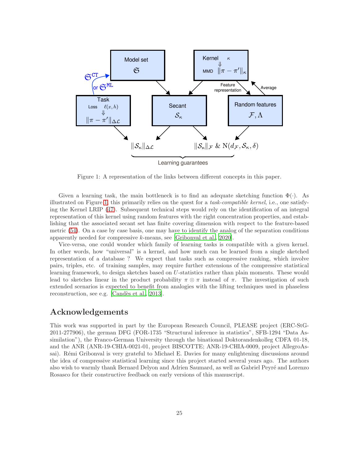

Figure 1: A representation of the links between different concepts in this paper.

Given a learning task, the main bottleneck is to find an adequate sketching function  $\Phi(\cdot)$ . As illustrated on Figure 1, this primarily relies on the quest for a task-compatible kernel, i.e., one satisfying the Kernel LRIP (47). Subsequent technical steps would rely on the identification of an integral representation of this kernel using random features with the right concentration properties, and establishing that the associated secant set has finite covering dimension with respect to the feature-based metric (54). On a case by case basis, one may have to identify the analog of the separation conditions apparently needed for compressive k-means, see [Gribonval et al., 2020].

Vice-versa, one could wonder which family of learning tasks is compatible with a given kernel. In other words, how "universal" is a kernel, and how much can be learned from a single sketched representation of a database ? We expect that tasks such as compressive ranking, which involve pairs, triples, etc. of training samples, may require further extensions of the compressive statistical learning framework, to design sketches based on U-statistics rather than plain moments. These would lead to sketches linear in the product probability  $\pi \otimes \pi$  instead of  $\pi$ . The investigation of such extended scenarios is expected to benefit from analogies with the lifting techniques used in phaseless reconstruction, see e.g. [Candès et al., 2013].

## Acknowledgements

This work was supported in part by the European Research Council, PLEASE project (ERC-StG-2011-277906), the german DFG (FOR-1735 "Structural inference in statistics", SFB-1294 "Data Assimilation"), the Franco-German University through the binational Doktorandenkolleg CDFA 01-18, and the ANR (ANR-19-CHIA-0021-01, project BISCOTTE; ANR-19-CHIA-0009, project AllegroAssai). Rémi Gribonval is very grateful to Michael E. Davies for many enlightening discussions around the idea of compressive statistical learning since this project started several years ago. The authors also wish to warmly thank Bernard Delyon and Adrien Saumard, as well as Gabriel Peyré and Lorenzo Rosasco for their constructive feedback on early versions of this manuscript.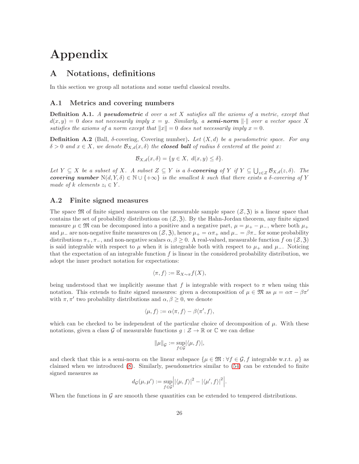# Appendix

## A Notations, definitions

In this section we group all notations and some useful classical results.

#### A.1 Metrics and covering numbers

Definition A.1. A pseudometric d over a set X satisfies all the axioms of a metric, except that  $d(x, y) = 0$  does not necessarily imply  $x = y$ . Similarly, a **semi-norm**  $\|\cdot\|$  over a vector space X satisfies the axioms of a norm except that  $||x|| = 0$  does not necessarily imply  $x = 0$ .

**Definition A.2** (Ball,  $\delta$ -covering, Covering number). Let  $(X, d)$  be a pseudometric space. For any  $\delta > 0$  and  $x \in X$ , we denote  $\mathcal{B}_{X,d}(x,\delta)$  the **closed ball** of radius  $\delta$  centered at the point x:

$$
\mathcal{B}_{X,d}(x,\delta) = \{y \in X, \ d(x,y) \le \delta\}.
$$

Let  $Y \subseteq X$  be a subset of X. A subset  $Z \subseteq Y$  is a  $\delta$ -covering of  $Y$  if  $Y \subseteq \bigcup_{z \in Z} B_{X,d}(z,\delta)$ . The covering number  $N(d, Y, \delta) \in \mathbb{N} \cup \{+\infty\}$  is the smallest k such that there exists a  $\delta$ -covering of Y made of k elements  $z_i \in Y$ .

#### A.2 Finite signed measures

The space  $\mathfrak{M}$  of finite signed measures on the measurable sample space  $(\mathcal{Z}, \mathfrak{Z})$  is a linear space that contains the set of probability distributions on  $(\mathcal{Z}, \mathfrak{Z})$ . By the Hahn-Jordan theorem, any finite signed measure  $\mu \in \mathfrak{M}$  can be decomposed into a positive and a negative part,  $\mu = \mu_+ - \mu_-$ , where both  $\mu_+$ and  $\mu_{-}$  are non-negative finite measures on  $(\mathcal{Z}, \mathcal{Z})$ , hence  $\mu_{+} = \alpha \pi_{+}$  and  $\mu_{-} = \beta \pi_{-}$  for some probability distributions  $\pi_+$ ,  $\pi_-$ , and non-negative scalars  $\alpha, \beta \geq 0$ . A real-valued, measurable function f on  $(\mathcal{Z}, \mathfrak{Z})$ is said integrable with respect to  $\mu$  when it is integrable both with respect to  $\mu_{+}$  and  $\mu_{-}$ . Noticing that the expectation of an integrable function  $f$  is linear in the considered probability distribution, we adopt the inner product notation for expectations:

$$
\langle \pi, f \rangle := \mathbb{E}_{X \sim \pi} f(X),
$$

being understood that we implicitly assume that f is integrable with respect to  $\pi$  when using this notation. This extends to finite signed measures: given a decomposition of  $\mu \in \mathfrak{M}$  as  $\mu = \alpha \pi - \beta \pi'$ with  $\pi, \pi'$  two probability distributions and  $\alpha, \beta \geq 0$ , we denote

$$
\langle \mu, f \rangle := \alpha \langle \pi, f \rangle - \beta \langle \pi', f \rangle,
$$

which can be checked to be independent of the particular choice of decomposition of  $\mu$ . With these notations, given a class G of measurable functions  $g : \mathcal{Z} \to \mathbb{R}$  or  $\mathbb{C}$  we can define

$$
\|\mu\|_{\mathcal{G}} := \sup_{f \in \mathcal{G}} |\langle \mu, f \rangle|,
$$

and check that this is a semi-norm on the linear subspace  $\{\mu \in \mathfrak{M} : \forall f \in \mathcal{G}, f \text{ integrable w.r.t. } \mu\}$  as claimed when we introduced (8). Similarly, pseudometrics similar to (54) can be extended to finite signed measures as

$$
d_{\mathcal{G}}(\mu, \mu') := \sup_{f \in \mathcal{G}} \Big| |\langle \mu, f \rangle|^2 - |\langle \mu', f \rangle|^2 \Big|.
$$

When the functions in  $\mathcal G$  are smooth these quantities can be extended to tempered distributions.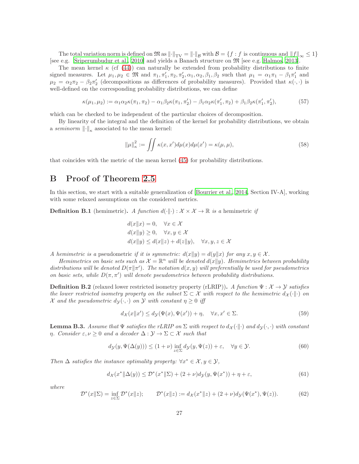The total variation norm is defined on  $\mathfrak{M}$  as  $\lVert \cdot \rVert_{TV} = \lVert \cdot \rVert_{\mathcal{B}}$  with  $\mathcal{B} = \{f : f$  is continuous and  $\lVert f \rVert_{\infty} \leq 1\}$ [see e.g. Sriperumbudur et al., 2010] and yields a Banach structure on M [see e.g. Halmos, 2013].

The mean kernel  $\kappa$  (cf (44)) can naturally be extended from probability distributions to finite signed measures. Let  $\mu_1, \mu_2 \in \mathfrak{M}$  and  $\pi_1, \pi'_1, \pi_2, \pi'_2, \alpha_1, \alpha_2, \beta_1, \beta_2$  such that  $\mu_1 = \alpha_1 \pi_1 - \beta_1 \pi'_1$  and  $\mu_2 = \alpha_2 \pi_2 - \beta_2 \pi'_2$  (decompositions as differences of probability measures). Provided that  $\kappa(\cdot, \cdot)$  is well-defined on the corresponding probability distributions, we can define

$$
\kappa(\mu_1, \mu_2) := \alpha_1 \alpha_2 \kappa(\pi_1, \pi_2) - \alpha_1 \beta_2 \kappa(\pi_1, \pi_2') - \beta_1 \alpha_2 \kappa(\pi_1', \pi_2) + \beta_1 \beta_2 \kappa(\pi_1', \pi_2'),\tag{57}
$$

which can be checked to be independent of the particular choices of decomposition.

By linearity of the integral and the definition of the kernel for probability distributions, we obtain a seminorm  $\left\| \cdot \right\|_{\kappa}$  associated to the mean kernel:

$$
\|\mu\|_{\kappa}^2 := \iint \kappa(x, x') d\mu(x) d\mu(x') = \kappa(\mu, \mu),\tag{58}
$$

that coincides with the metric of the mean kernel (45) for probability distributions.

## B Proof of Theorem 2.5

In this section, we start with a suitable generalization of [Bourrier et al., 2014, Section IV-A], working with some relaxed assumptions on the considered metrics.

**Definition B.1** (hemimetric). A function  $d(\cdot|\cdot) : \mathcal{X} \times \mathcal{X} \to \mathbb{R}$  is a hemimetric if

$$
d(x||x) = 0, \quad \forall x \in \mathcal{X}
$$
  
\n
$$
d(x||y) \ge 0, \quad \forall x, y \in \mathcal{X}
$$
  
\n
$$
d(x||y) \le d(x||z) + d(z||y), \quad \forall x, y, z \in \mathcal{X}
$$

A hemimetric is a pseudometric if it is symmetric:  $d(x||y) = d(y||x)$  for any  $x, y \in \mathcal{X}$ .

Hemimetrics on basic sets such as  $\mathcal{X} = \mathbb{R}^n$  will be denoted  $d(x||y)$ . Hemimetrics between probability distributions will be denoted  $D(\pi || \pi')$ . The notation  $d(x, y)$  will preferentially be used for pseudometrics on basic sets, while  $D(\pi, \pi')$  will denote pseudometrics between probability distributions.

**Definition B.2** (relaxed lower restricted isometry property (rLRIP)). A function  $\Psi : \mathcal{X} \to \mathcal{Y}$  satisfies the lower restricted isometry property on the subset  $\Sigma \subset \mathcal{X}$  with respect to the hemimetric  $d_{\mathcal{X}}(\cdot||\cdot)$  on X and the pseudometric  $d_{\mathcal{Y}}(\cdot, \cdot)$  on Y with constant  $\eta \geq 0$  iff

$$
d_{\mathcal{X}}(x||x') \le d_{\mathcal{Y}}(\Psi(x), \Psi(x')) + \eta, \quad \forall x, x' \in \Sigma.
$$
 (59)

**Lemma B.3.** Assume that  $\Psi$  satisfies the rLRIP on  $\Sigma$  with respect to  $d_{\mathcal{X}}(\cdot|\cdot)$  and  $d_{\mathcal{Y}}(\cdot,\cdot)$  with constant η. Consider  $\varepsilon, \nu \geq 0$  and a decoder  $\Delta : \mathcal{Y} \to \Sigma \subset \mathcal{X}$  such that

$$
d_{\mathcal{Y}}(y, \Psi(\Delta(y))) \le (1 + \nu) \inf_{z \in \Sigma} d_{\mathcal{Y}}(y, \Psi(z)) + \varepsilon, \quad \forall y \in \mathcal{Y}.
$$
 (60)

Then  $\Delta$  satisfies the instance optimality property:  $\forall x^* \in \mathcal{X}, y \in \mathcal{Y},$ 

$$
d_{\mathcal{X}}(x^* \| \Delta(y)) \le \mathcal{D}^*(x^* \| \Sigma) + (2 + \nu) d_{\mathcal{Y}}(y, \Psi(x^*)) + \eta + \varepsilon,
$$
\n(61)

where

$$
\mathcal{D}^*(x||\Sigma) = \inf_{z \in \Sigma} \mathcal{D}^*(x||z); \qquad \mathcal{D}^*(x||z) := d_{\mathcal{X}}(x^*||z) + (2+\nu)d_{\mathcal{Y}}(\Psi(x^*), \Psi(z)). \tag{62}
$$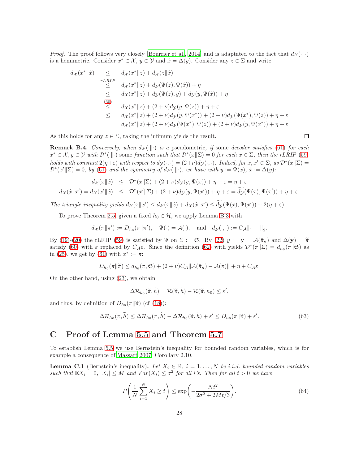*Proof.* The proof follows very closely [Bourrier et al., 2014] and is adaptated to the fact that  $d_{\mathcal{X}}(\cdot\|\cdot)$ is a hemimetric. Consider  $x^* \in \mathcal{X}, y \in \mathcal{Y}$  and  $\hat{x} = \Delta(y)$ . Consider any  $z \in \Sigma$  and write

$$
d_{\mathcal{X}}(x^* \| \hat{x}) \le d_{\mathcal{X}}(x^* \| z) + d_{\mathcal{X}}(z \| \hat{x})
$$
  
\n
$$
\le d_{\mathcal{X}}(x^* \| z) + d_{\mathcal{Y}}(\Psi(z), \Psi(\hat{x})) + \eta
$$
  
\n
$$
\le d_{\mathcal{X}}(x^* \| z) + d_{\mathcal{Y}}(\Psi(z), y) + d_{\mathcal{Y}}(y, \Psi(\hat{x})) + \eta
$$
  
\n(60)  
\n
$$
\le d_{\mathcal{X}}(x^* \| z) + (2 + \nu) d_{\mathcal{Y}}(y, \Psi(z)) + \eta + \varepsilon
$$
  
\n
$$
\le d_{\mathcal{X}}(x^* \| z) + (2 + \nu) d_{\mathcal{Y}}(y, \Psi(x^*)) + (2 + \nu) d_{\mathcal{Y}}(\Psi(x^*), \Psi(z)) + \eta + \varepsilon
$$
  
\n
$$
= d_{\mathcal{X}}(x^* \| z) + (2 + \nu) d_{\mathcal{Y}}(\Psi(x^*), \Psi(z)) + (2 + \nu) d_{\mathcal{Y}}(y, \Psi(x^*)) + \eta + \varepsilon
$$

As this holds for any  $z \in \Sigma$ , taking the infimum yields the result.

$$
\Box
$$

**Remark B.4.** Conversely, when  $d_X(\cdot|\cdot)$  is a pseudometric, if some decoder satisfies (61) for each  $x^* \in \mathcal{X}, y \in \mathcal{Y}$  with  $\mathcal{D}^*(\cdot \| \cdot)$  some function such that  $\mathcal{D}^*(x \| \Sigma) = 0$  for each  $x \in \Sigma$ , then the rLRIP (59) holds with constant  $2(\eta+\varepsilon)$  with respect to  $d_{\mathcal{Y}}(\cdot, \cdot) = (2+\nu)d_{\mathcal{Y}}(\cdot, \cdot)$ . Indeed, for  $x, x' \in \Sigma$ , as  $\mathcal{D}^*(x||\Sigma) =$  $\mathcal{D}^*(x'|\Sigma) = 0$ , by (61) and the symmetry of  $d_{\mathcal{X}}(\cdot|\vert \cdot)$ , we have with  $y := \Psi(x)$ ,  $\hat{x} := \Delta(y)$ :

$$
d_{\mathcal{X}}(x||\hat{x}) \leq \mathcal{D}^*(x||\Sigma) + (2+\nu)d_{\mathcal{Y}}(y,\Psi(x)) + \eta + \varepsilon = \eta + \varepsilon
$$
  

$$
d_{\mathcal{X}}(\hat{x}||x') = d_{\mathcal{X}}(x'||\hat{x}) \leq \mathcal{D}^*(x'||\Sigma) + (2+\nu)d_{\mathcal{Y}}(y,\Psi(x')) + \eta + \varepsilon = \widetilde{d_{\mathcal{Y}}}(\Psi(x),\Psi(x')) + \eta + \varepsilon.
$$

The triangle inequality yields  $d_{\mathcal{X}}(x||x') \leq d_{\mathcal{X}}(x||\hat{x}) + d_{\mathcal{X}}(\hat{x}||x') \leq d_{\mathcal{Y}}(\Psi(x), \Psi(x')) + 2(\eta + \varepsilon).$ 

To prove Theorem 2.5, given a fixed  $h_0 \in \mathcal{H}$ , we apply Lemma B.3 with

$$
d_{\mathcal{X}}(\pi||\pi') := D_{h_0}(\pi||\pi'), \quad \Psi(\cdot) = \mathcal{A}(\cdot), \quad \text{and} \quad d_{\mathcal{Y}}(\cdot, \cdot) := C_{\mathcal{A}}\|\cdot - \cdot\|_2.
$$

By (19)-(20) the rLRIP (59) is satisfied by  $\Psi$  on  $\Sigma := \mathfrak{S}$ . By (22)  $y := \mathbf{y} = \mathcal{A}(\hat{\pi}_n)$  and  $\Delta(\mathbf{y}) = \tilde{\pi}$ satisfy (60) with  $\varepsilon$  replaced by  $C_{\mathcal{A}}\varepsilon$ . Since the definition (62) with yields  $\mathcal{D}^*(\pi|\Sigma) = d_{h_0}(\pi|\mathfrak{S})$  as in (25), we get by (61) with  $x^* := \pi$ :

$$
D_{h_0}(\pi||\widetilde{\pi}) \leq d_{h_0}(\pi,\mathfrak{S}) + (2+\nu)C_{\mathcal{A}}||\mathcal{A}(\hat{\pi}_n) - \mathcal{A}(\pi)|| + \eta + C_{\mathcal{A}}\varepsilon.
$$

On the other hand, using (23), we obtain

$$
\Delta \mathcal{R}_{h_0}(\widetilde{\pi},\hat{h}) = \mathcal{R}(\widetilde{\pi},\hat{h}) - \mathcal{R}(\widetilde{\pi},h_0) \leq \varepsilon',
$$

and thus, by definition of  $D_{h_0}(\pi || \widetilde{\pi})$  (cf (18)):

$$
\Delta \mathcal{R}_{h_0}(\pi, \widetilde{h}) \leq \Delta \mathcal{R}_{h_0}(\pi, \widehat{h}) - \Delta \mathcal{R}_{h_0}(\widetilde{\pi}, \widehat{h}) + \varepsilon' \leq D_{h_0}(\pi || \widetilde{\pi}) + \varepsilon'.
$$
\n(63)

### C Proof of Lemma 5.5 and Theorem 5.7

To establish Lemma 5.5 we use Bernstein's inequality for bounded random variables, which is for example a consequence of Massart 2007, Corollary 2.10.

**Lemma C.1** (Bernstein's inequality). Let  $X_i \in \mathbb{R}$ ,  $i = 1, ..., N$  be i.i.d. bounded random variables such that  $\mathbb{E}X_i = 0$ ,  $|X_i| \leq M$  and  $Var(X_i) \leq \sigma^2$  for all i's. Then for all  $t > 0$  we have

$$
P\left(\frac{1}{N}\sum_{i=1}^{N}X_i \ge t\right) \le \exp\left(-\frac{Nt^2}{2\sigma^2 + 2Mt/3}\right). \tag{64}
$$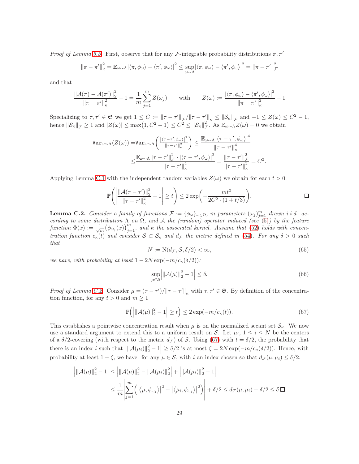*Proof of Lemma 5.5.* First, observe that for any *F*-integrable probability distributions  $\pi, \pi'$ 

$$
\left\|\pi-\pi'\right\|_{\kappa}^{2}=\mathbb{E}_{\omega\sim\Lambda}\left|\left\langle\pi,\phi_{\omega}\right\rangle-\left\langle\pi',\phi_{\omega}\right\rangle\right|^{2}\leq\sup_{\omega\sim\Lambda}\left|\left\langle\pi,\phi_{\omega}\right\rangle-\left\langle\pi',\phi_{\omega}\right\rangle\right|^{2}=\left\|\pi-\pi'\right\|_{\mathcal{F}}^{2}
$$

and that

$$
\frac{\|\mathcal{A}(\pi) - \mathcal{A}(\pi')\|_2^2}{\|\pi - \pi'\|_{\kappa}^2} - 1 = \frac{1}{m} \sum_{j=1}^m Z(\omega_j) \quad \text{with} \quad Z(\omega) := \frac{|\langle \pi, \phi_{\omega} \rangle - \langle \pi', \phi_{\omega} \rangle|^2}{\|\pi - \pi'\|_{\kappa}^2} - 1
$$

Specializing to  $\tau, \tau' \in \mathfrak{S}$  we get  $1 \leq C := \|\tau - \tau'\|_{\mathcal{F}} / \|\tau - \tau'\|_{\kappa} \leq \|\mathcal{S}_{\kappa}\|_{\mathcal{F}}$  and  $-1 \leq Z(\omega) \leq C^2 - 1$ , hence  $\|\mathcal{S}_{\kappa}\|_{\mathcal{F}} \geq 1$  and  $|Z(\omega)| \leq \max(1, C^2 - 1) \leq C^2 \leq \|\mathcal{S}_{\kappa}\|_{\mathcal{F}}^2$ <sup>2</sup><sub>*F*</sub>. As  $\mathbb{E}_{\omega \sim Λ} Z(\omega) = 0$  we obtain

$$
\operatorname{Var}_{\omega \sim \Lambda}(Z(\omega)) = \operatorname{Var}_{\omega \sim \Lambda}\left(\frac{|\langle \tau - \tau', \phi_{\omega} \rangle|^2}{\|\tau - \tau'\|_{\kappa}^2}\right) \le \frac{\mathbb{E}_{\omega \sim \Lambda}|\langle \tau - \tau', \phi_{\omega} \rangle|^4}{\|\tau - \tau'\|_{\kappa}^4}
$$

$$
\le \frac{\mathbb{E}_{\omega \sim \Lambda} \|\tau - \tau'\|_{\mathcal{F}}^2 \cdot |\langle \tau - \tau', \phi_{\omega} \rangle|^2}{\|\tau - \tau'\|_{\kappa}^4} = \frac{\|\tau - \tau'\|_{\mathcal{F}}^2}{\|\tau - \tau'\|_{\kappa}^2} = C^2
$$

Applying Lemma C.1 with the independent random variables  $Z(\omega)$  we obtain for each  $t > 0$ :

$$
\mathbb{P}\left(\left|\frac{\|\mathcal{A}(\tau-\tau')\|_2^2}{\|\tau-\tau'\|_{\kappa}^2}-1\right|\geq t\right)\leq 2\exp\left(-\frac{mt^2}{2C^2\cdot(1+t/3)}\right).
$$

**Lemma C.2.** Consider a family of functions  $\mathcal{F} := {\phi_\omega}_{\omega \in \Omega}$ , m parameters  $(\omega_j)_{j=1}^m$  drawn i.i.d. according to some distribution  $\Lambda$  on  $\Omega$ , and  $\Lambda$  the (random) operator induced (see (5)) by the feature function  $\Phi(x) := \frac{1}{\sqrt{m}} (\phi_{\omega_j}(x))_{j=1}^m$  and  $\kappa$  the associated kernel. Assume that (52) holds with concentration function  $c_{\kappa}(t)$  and consider  $S \subset S_{\kappa}$  and  $d_{\mathcal{F}}$  the metric defined in (54). For any  $\delta > 0$  such that

$$
N := N(d_{\mathcal{F}}, \mathcal{S}, \delta/2) < \infty,\tag{65}
$$

.

we have, with probability at least  $1 - 2N \exp(-m/c_{\kappa}(\delta/2))$ :

$$
\sup_{\mu \in \mathcal{S}} \left| \|\mathcal{A}(\mu)\|_2^2 - 1 \right| \le \delta. \tag{66}
$$

Proof of Lemma C.2. Consider  $\mu = (\tau - \tau')/||\tau - \tau'||_{\kappa}$  with  $\tau, \tau' \in \mathfrak{S}$ . By definition of the concentration function, for any  $t > 0$  and  $m \ge 1$ 

$$
\mathbb{P}\left(\left|\|\mathcal{A}(\mu)\|_{2}^{2} - 1\right| \geq t\right) \leq 2\exp(-m/c_{\kappa}(t)).\tag{67}
$$

This establishes a pointwise concentration result when  $\mu$  is on the normalized secant set  $\mathcal{S}_{\kappa}$ . We now use a standard argument to extend this to a uniform result on S. Let  $\mu_i$ ,  $1 \leq i \leq N$  be the centers of a  $\delta/2$ -covering (with respect to the metric  $d_{\mathcal{F}}$ ) of S. Using (67) with  $t = \delta/2$ , the probability that there is an index *i* such that  $\left| \|\mathcal{A}(\mu_i)\|_2^2 - 1 \right| \geq \delta/2$  is at most  $\zeta = 2N \exp(-m/c_{\kappa}(\delta/2))$ . Hence, with probability at least  $1 - \zeta$ , we have: for any  $\mu \in \mathcal{S}$ , with i an index chosen so that  $d_{\mathcal{F}}(\mu, \mu_i) \leq \delta/2$ :

$$
\left| ||\mathcal{A}(\mu)||_2^2 - 1 \right| \le \left| ||\mathcal{A}(\mu)||_2^2 - ||\mathcal{A}(\mu_i)||_2^2 \right| + \left| ||\mathcal{A}(\mu_i)||_2^2 - 1 \right|
$$
  

$$
\le \frac{1}{m} \left| \sum_{j=1}^m \left( \left| \langle \mu, \phi_{\omega_j} \rangle \right|^2 - \left| \langle \mu_i, \phi_{\omega_j} \rangle \right|^2 \right) \right| + \delta/2 \le d_{\mathcal{F}}(\mu, \mu_i) + \delta/2 \le \delta.
$$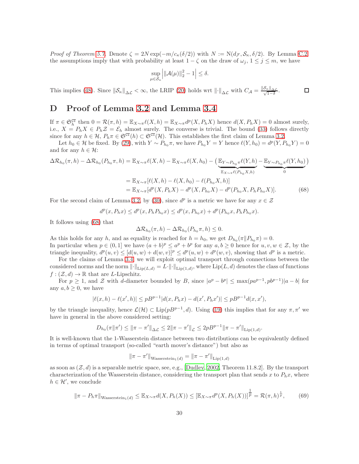Proof of Theorem 5.7. Denote  $\zeta = 2N \exp(-m/c_{\kappa}(\delta/2))$  with  $N := N(d_{\mathcal{F}}, \mathcal{S}_{\kappa}, \delta/2)$ . By Lemma C.2, the assumptions imply that with probability at least  $1 - \zeta$  on the draw of  $\omega_j$ ,  $1 \le j \le m$ , we have

$$
\sup_{\mu \in \mathcal{S}_{\kappa}} \left| \|\mathcal{A}(\mu)\|_{2}^{2} - 1 \right| \leq \delta.
$$

This implies (48). Since  $\|\mathcal{S}_{\kappa}\|_{\Delta \mathcal{L}} < \infty$ , the LRIP (20) holds wrt  $\|\cdot\|_{\Delta \mathcal{L}}$  with  $C_{\mathcal{A}} = \frac{\|\mathcal{S}_{\kappa}\|_{\Delta \mathcal{L}}}{\sqrt{1-\delta}}$ .  $\Box$ 

## D Proof of Lemma 3.2 and Lemma 3.4

If  $\pi \in \mathfrak{S}_h^{\mathsf{CT}}$  then  $0 = \mathcal{R}(\pi, h) = \mathbb{E}_{X \sim \pi} \ell(X, h) = \mathbb{E}_{X \sim \pi} d^p(X, P_h X)$  hence  $d(X, P_h X) = 0$  almost surely, i.e.,  $X = P_h X \in P_h Z = \mathcal{E}_h$  almost surely. The converse is trivial. The bound (33) follows directly since for any  $h \in \mathcal{H}$ ,  $P_h \pi \in \mathfrak{S}^{\mathsf{CT}}(h) \subset \mathfrak{S}^{\mathsf{CT}}(\mathcal{H})$ . This establishes the first claim of Lemma 3.2.

Let  $h_0 \in \mathcal{H}$  be fixed. By (29), with  $Y \sim P_{h_0} \pi$ , we have  $P_{h_0} Y = Y$  hence  $\ell(Y, h_0) = d^p(Y, P_{h_0} Y) = 0$ and for any  $h \in \mathcal{H}$ :

$$
\Delta \mathcal{R}_{h_0}(\pi, h) - \Delta \mathcal{R}_{h_0}(P_{h_0}\pi, h) = \mathbb{E}_{X \sim \pi} \ell(X, h) - \mathbb{E}_{X \sim \pi} \ell(X, h_0) - \left(\underbrace{\mathbb{E}_{Y \sim P_{h_0}\pi} \ell(Y, h)}_{\mathbb{E}_{X \sim \pi} \ell(P_{h_0}X, h)} - \underbrace{\mathbb{E}_{Y \sim P_{h_0}\pi} \ell(Y, h_0)}_{0}\right)
$$
  
\n
$$
= \mathbb{E}_{X \sim \pi} [\ell(X, h) - \ell(X, h_0) - \ell(P_{h_0}X, h)]
$$
  
\n
$$
= \mathbb{E}_{X \sim \pi} [d^p(X, P_h X) - d^p(X, P_{h_0}X) - d^p(P_{h_0}X, P_h P_{h_0}X)].
$$
 (68)

For the second claim of Lemma 3.2, by (30), since  $d^p$  is a metric we have for any  $x \in \mathcal{Z}$ 

$$
d^{p}(x, P_{h}x) \leq d^{p}(x, P_{h}P_{h_{0}}x) \leq d^{p}(x, P_{h_{0}}x) + d^{p}(P_{h_{0}}x, P_{h}P_{h_{0}}x).
$$

It follows using (68) that

$$
\Delta \mathcal{R}_{h_0}(\pi,h) - \Delta \mathcal{R}_{h_0}(P_{h_0}\pi,h) \leq 0.
$$

As this holds for any h, and as equality is reached for  $h = h_0$ , we get  $D_{h_0}(\pi \| P_{h_0} \pi) = 0$ . In particular when  $p \in (0,1]$  we have  $(a+b)^p \le a^p + b^p$  for any  $a, b \ge 0$  hence for  $u, v, w \in \mathcal{Z}$ , by the triangle inequality,  $d^p(u, v) \leq [d(u, w) + d(w, v)]^p \leq d^p(u, w) + d^p(w, v)$ , showing that  $d^p$  is a metric.

For the claims of Lemma 3.4, we will exploit optimal transport through connections between the considered norms and the norm  $\|\cdot\|_{\text{Lip}(L,d)} = L \cdot \|\cdot\|_{\text{Lip}(1,d)}$ , where  $\text{Lip}(L,d)$  denotes the class of functions  $f : (\mathcal{Z}, d) \to \mathbb{R}$  that are *L*-Lipschitz.

For  $p \ge 1$ , and Z with d-diameter bounded by B, since  $|a^p - b^p| \le \max(pa^{p-1}, pb^{p-1})|a - b|$  for any  $a, b \geq 0$ , we have

$$
|\ell(x,h) - \ell(x',h)| \le pB^{p-1}|d(x,P_hx) - d(x',P_hx')| \le pB^{p-1}d(x,x'),
$$

by the triangle inequality, hence  $\mathcal{L}(\mathcal{H}) \subset \text{Lip}(pB^{p-1}, d)$ . Using (19) this implies that for any  $\pi, \pi'$  we have in general in the above considered setting:

$$
D_{h_0}(\pi||\pi') \le ||\pi - \pi'||_{\Delta\mathcal{L}} \le 2||\pi - \pi'||_{\mathcal{L}} \le 2pB^{p-1}||\pi - \pi'||_{\text{Lip}(1,d)}.
$$

It is well-known that the 1-Wasserstein distance between two distributions can be equivalently defined in terms of optimal transport (so-called "earth mover's distance") but also as

$$
\|\pi - \pi'\|_{\text{Wasserstein}_1(d)} = \|\pi - \pi'\|_{\text{Lip}(1,d)}
$$

as soon as  $(\mathcal{Z}, d)$  is a separable metric space, see, e.g., [Dudley, 2002, Theorem 11.8.2]. By the transport characterization of the Wasserstein distance, considering the transport plan that sends x to  $P_hx$ , where  $h \in \mathcal{H}'$ , we conclude

$$
\|\pi - P_h \pi\|_{\text{Wasserstein}_1(d)} \leq \mathbb{E}_{X \sim \pi} d(X, P_h(X)) \leq \left[\mathbb{E}_{X \sim \pi} d^p(X, P_h(X))\right]^{\frac{1}{p}} = \mathcal{R}(\pi, h)^{\frac{1}{p}},\tag{69}
$$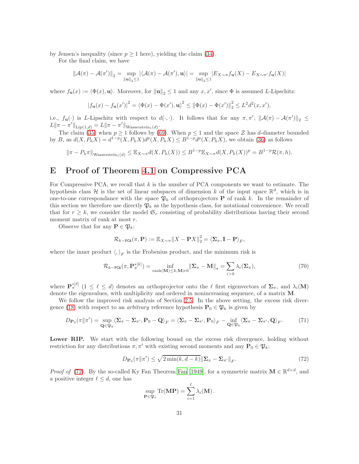by Jensen's inequality (since  $p \ge 1$  here), yielding the claim (34).

For the final claim, we have

$$
\|\mathcal{A}(\pi)-\mathcal{A}(\pi')\|_2=\sup_{\|\mathbf{u}\|_2\leq 1}|\langle\mathcal{A}(\pi)-\mathcal{A}(\pi'),\mathbf{u}\rangle|=\sup_{\|\mathbf{u}\|_2\leq 1}|E_{X\sim \pi}f_{\mathbf{u}}(X)-E_{X\sim \pi'}f_{\mathbf{u}}(X)|
$$

where  $f_{\mathbf{u}}(x) := \langle \Phi(x), \mathbf{u} \rangle$ . Moreover, for  $\|\mathbf{u}\|_2 \leq 1$  and any  $x, x'$ , since  $\Phi$  is assumed *L*-Lipschitz:

$$
|f_{\mathbf{u}}(x) - f_{\mathbf{u}}(x')|^2 = \langle \Phi(x) - \Phi(x'), \mathbf{u} \rangle^2 \le ||\Phi(x) - \Phi(x')||_2^2 \le L^2 d^2(x, x'),
$$

i.e.,  $f_{\mathbf{u}}(\cdot)$  is L-Lipschitz with respect to  $d(\cdot,\cdot)$ . It follows that for any  $\pi, \pi', \|\mathcal{A}(\pi) - \mathcal{A}(\pi')\|_2 \le$  $L\|\pi - \pi'\|_{\text{Lip}(1,d)} = L\|\pi - \pi'\|_{\text{Wasserstein}_1(d)}.$ 

The claim (35) when  $p \ge 1$  follows by (69). When  $p \le 1$  and the space Z has d-diameter bounded by B, as  $d(X, P_h X) = d^{1-p}(X, P_h X) d^p(X, P_h X) \leq B^{1-p} d^p(X, P_h X)$ , we obtain (36) as follows

 $\|\pi - P_h\pi\|_{\text{Wasserstein}_1(d)} \leq \mathbb{E}_{X\sim \pi}d(X, P_h(X)) \leq B^{1-p}\mathbb{E}_{X\sim \pi}d(X, P_h(X))^p = B^{1-p}\mathcal{R}(\pi, h).$ 

## E Proof of Theorem 4.1 on Compressive PCA

For Compressive PCA, we recall that  $k$  is the number of PCA components we want to estimate. The hypothesis class  $\mathcal H$  is the set of linear subspaces of dimension k of the input space  $\mathbb R^d$ , which is in one-to-one correspondance with the space  $\mathfrak{P}_k$  of orthoprojectors **P** of rank k. In the remainder of this section we therefore use directly  $\mathfrak{P}_k$  as the hypothesis class, for notational convenience. We recall that for  $r \geq k$ , we consider the model  $\mathfrak{S}_r$  consisting of probability distributions having their second moment matrix of rank at most r.

Observe that for any  $\mathbf{P} \in \mathfrak{P}_k$ :

$$
\mathcal{R}_{k-\texttt{PCA}}(\pi,\mathbf{P}):=\mathbb{E}_{X\sim\pi}\|X-\mathbf{P}X\|_2^2=\langle\mathbf{\Sigma}_{\pi},\mathbf{I}-\mathbf{P}\rangle_F,
$$

where the inner product  $\langle,\rangle_F$  is the Frobenius product, and the minimum risk is

$$
\mathcal{R}_{k-\text{PCA}}(\pi, \mathbf{P}_{\pi}^{*[k]}) = \inf_{\text{rank}(\mathbf{M}) \le k, \mathbf{M} \ge 0} \|\mathbf{\Sigma}_{\pi} - \mathbf{M}\|_{*} = \sum_{i>k} \lambda_{i}(\mathbf{\Sigma}_{\pi}),
$$
\n(70)

where  $\mathbf{P}_{\pi}^{*[\ell]}$   $(1 \leq \ell \leq d)$  denotes an orthoprojector onto the  $\ell$  first eigenvectors of  $\Sigma_{\pi}$ , and  $\lambda_i(\mathbf{M})$ denote the eigenvalues, with multiplicity and ordered in nonincreasing sequence, of a matrix M.

We follow the improved risk analysis of Section 2.5. In the above setting, the excess risk divergence (18) with respect to an *arbitrary* reference hypothesis  $\mathbf{P}_0 \in \mathfrak{P}_k$  is given by

$$
D_{\mathbf{P}_0}(\pi||\pi') = \sup_{\mathbf{Q}\in\mathfrak{P}_k} \langle \mathbf{\Sigma}_{\pi} - \mathbf{\Sigma}_{\pi'}, \mathbf{P}_0 - \mathbf{Q} \rangle_F = \langle \mathbf{\Sigma}_{\pi} - \mathbf{\Sigma}_{\pi'}, \mathbf{P}_0 \rangle_F - \inf_{\mathbf{Q}\in\mathfrak{P}_k} \langle \mathbf{\Sigma}_{\pi} - \mathbf{\Sigma}_{\pi'}, \mathbf{Q} \rangle_F. \tag{71}
$$

Lower RIP. We start with the following bound on the excess risk divergence, holding without restriction for any distributions  $\pi, \pi'$  with existing second moments and any  $\mathbf{P}_0 \in \mathfrak{P}_k$ :

$$
D_{\mathbf{P}_0}(\pi \|\pi') \le \sqrt{2 \min(k, d-k)} \|\Sigma_{\pi} - \Sigma_{\pi'}\|_F.
$$
 (72)

*Proof of* (72). By the so-called Ky Fan Theorem Fan [1949], for a symmetric matrix  $\mathbf{M} \in \mathbb{R}^{d \times d}$ , and a positive integer  $\ell \leq d$ , one has

$$
\sup_{\mathbf{P}\in\mathfrak{P}_{\ell}} \mathrm{Tr}(\mathbf{MP}) = \sum_{i=1}^{\ell} \lambda_i(\mathbf{M}).
$$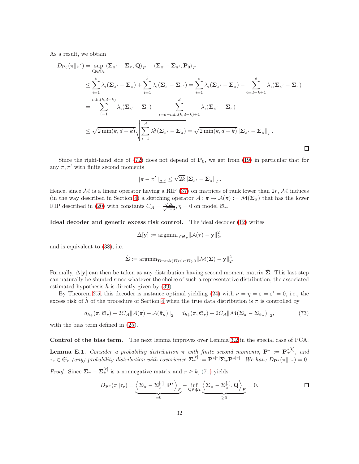As a result, we obtain

$$
D_{\mathbf{P}_0}(\pi||\pi') = \sup_{\mathbf{Q} \in \mathfrak{P}_k} \langle \mathbf{\Sigma}_{\pi'} - \mathbf{\Sigma}_{\pi}, \mathbf{Q} \rangle_F + \langle \mathbf{\Sigma}_{\pi} - \mathbf{\Sigma}_{\pi'}, \mathbf{P}_0 \rangle_F
$$
  
\n
$$
\leq \sum_{i=1}^k \lambda_i (\mathbf{\Sigma}_{\pi'} - \mathbf{\Sigma}_{\pi}) + \sum_{i=1}^k \lambda_i (\mathbf{\Sigma}_{\pi} - \mathbf{\Sigma}_{\pi'}) = \sum_{i=1}^k \lambda_i (\mathbf{\Sigma}_{\pi'} - \mathbf{\Sigma}_{\pi}) - \sum_{i=d-k+1}^d \lambda_i (\mathbf{\Sigma}_{\pi'} - \mathbf{\Sigma}_{\pi})
$$
  
\n
$$
= \sum_{i=1}^{\min(k, d-k)} \lambda_i (\mathbf{\Sigma}_{\pi'} - \mathbf{\Sigma}_{\pi}) - \sum_{i=d-\min(k, d-k)+1}^d \lambda_i (\mathbf{\Sigma}_{\pi'} - \mathbf{\Sigma}_{\pi})
$$
  
\n
$$
\leq \sqrt{2 \min(k, d-k)} \sqrt{\sum_{i=1}^d \lambda_i^2 (\mathbf{\Sigma}_{\pi'} - \mathbf{\Sigma}_{\pi})} = \sqrt{2 \min(k, d-k)} ||\mathbf{\Sigma}_{\pi'} - \mathbf{\Sigma}_{\pi}||_F.
$$

Since the right-hand side of  $(72)$  does not depend of  $P_0$ , we get from  $(19)$  in particular that for any  $\pi, \pi'$  with finite second moments

$$
\|\pi-\pi'\|_{\Delta\mathcal{L}}\leq \sqrt{2k}\|\mathbf{\Sigma}_{\pi'}-\mathbf{\Sigma}_{\pi}\|_{F}.
$$

Hence, since  $\mathcal M$  is a linear operator having a RIP (37) on matrices of rank lower than  $2r$ ,  $\mathcal M$  induces (in the way described in Section 4) a sketching operator  $\mathcal{A} : \pi \mapsto \mathcal{A}(\pi) := \mathcal{M}(\Sigma_{\pi})$  that has the lower RIP described in (20) with constants  $C_A = \frac{\sqrt{2}}{\sqrt{1}}$  $\frac{\sqrt{2k}}{1}$  $\frac{\sqrt{2k}}{1-\delta}, \eta = 0$  on model  $\mathfrak{S}_r$ .

Ideal decoder and generic excess risk control. The ideal decoder (12) writes

$$
\Delta[\mathbf{y}] := \operatorname{argmin}_{\tau \in \mathfrak{S}_r} ||\mathcal{A}(\tau) - \mathbf{y}||_2^2,
$$

and is equivalent to (38), i.e.

$$
\hat{\Sigma} := \mathrm{argmin}_{\Sigma : \mathrm{rank}(\Sigma) \le r; \Sigma \succcurlyeq 0} \|\mathcal{M}(\Sigma) - \mathbf{y}\|_2^2.
$$

Formally,  $\Delta[\mathbf{y}]$  can then be taken as any distribution having second moment matrix  $\hat{\Sigma}$ . This last step can naturally be shunted since whatever the choice of such a representative distribution, the associated estimated hypothesis  $h$  is directly given by  $(39)$ .

By Theorem 2.5, this decoder is instance optimal yielding (24) with  $\nu = \eta = \varepsilon = \varepsilon' = 0$ , i.e., the excess risk of  $\hat{h}$  of the procedure of Section 4 when the true data distribution is  $\pi$  is controlled by

$$
d_{h^*_{\pi}}(\pi, \mathfrak{S}_r) + 2C_{\mathcal{A}} \|\mathcal{A}(\pi) - \mathcal{A}(\hat{\pi}_n)\|_2 = d_{h^*_{\pi}}(\pi, \mathfrak{S}_r) + 2C_{\mathcal{A}} \|\mathcal{M}(\Sigma_{\pi} - \Sigma_{\hat{\pi}_n})\|_2,
$$
(73)

with the bias term defined in (25).

Control of the bias term. The next lemma improves over Lemma 3.2 in the special case of PCA.

**Lemma E.1.** Consider a probability distribution  $\pi$  with finite second moments,  $\mathbf{P}^* := \mathbf{P}^{*[k]}_{\pi}$ , and  $\tau_r \in \mathfrak{S}_r$  (any) probability distribution with covariance  $\mathbf{\Sigma}_{\pi}^{[r]} := \mathbf{P}^{*[r]} \mathbf{\Sigma}_{\pi} \mathbf{P}^{*[r]}$ . We have  $D_{\mathbf{P}^*}(\pi || \tau_r) = 0$ .

*Proof.* Since  $\Sigma_{\pi} - \Sigma_{\pi}^{[r]}$  is a nonnegative matrix and  $r \geq k$ , (71) yields

$$
D_{\mathbf{P}^*}(\pi \| \tau_r) = \underbrace{\left\langle \mathbf{\Sigma}_{\pi} - \mathbf{\Sigma}_{\pi}^{[r]}, \mathbf{P}^* \right\rangle_F}_{=0} - \inf_{\mathbf{Q} \in \mathfrak{P}_k} \underbrace{\left\langle \mathbf{\Sigma}_{\pi} - \mathbf{\Sigma}_{\pi}^{[r]}, \mathbf{Q} \right\rangle_F}_{\geq 0} = 0.
$$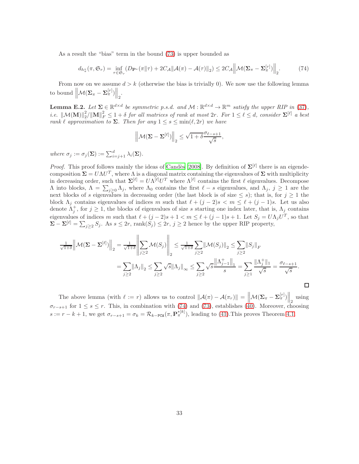As a result the "bias" term in the bound (73) is upper bounded as

$$
d_{h^*_{\pi}}(\pi, \mathfrak{S}_r) = \inf_{\tau \in \mathfrak{S}_r} (D_{\mathbf{P}^*}(\pi \| \tau) + 2C_{\mathcal{A}} \|\mathcal{A}(\pi) - \mathcal{A}(\tau) \|_2) \leq 2C_{\mathcal{A}} \left\| \mathcal{M}(\Sigma_{\pi} - \Sigma_{\pi}^{[r]}) \right\|_2.
$$
 (74)

From now on we assume  $d > k$  (otherwise the bias is trivially 0). We now use the following lemma to bound  $\left\| \mathcal{M}(\mathbf{\Sigma}_{\pi}-\mathbf{\Sigma}_{\pi}^{[r]}) \right\|_2$ .

**Lemma E.2.** Let  $\Sigma \in \mathbb{R}^{d \times d}$  be symmetric p.s.d. and  $\mathcal{M} : \mathbb{R}^{d \times d} \to \mathbb{R}^m$  satisfy the upper RIP in (37), i.e.  $\|\mathcal{M}(\mathbf{M})\|_{2}^{2}/\|\mathbf{M}\|_{F}^{2} \leq 1 + \delta$  for all matrices of rank at most  $2r$ . For  $1 \leq \ell \leq d$ , consider  $\mathbf{\Sigma}^{[\ell]}$  a best rank  $\ell$  approximation to  $\Sigma$ . Then for any  $1 \leq s \leq \min(\ell, 2r)$  we have

$$
\left\|{\cal M}(\Sigma-\Sigma^{[\ell]})\right\|_2\leq \sqrt{1+\delta}\frac{\sigma_{\ell-s+1}}{\sqrt{s}},
$$

where  $\sigma_j := \sigma_j(\mathbf{\Sigma}) := \sum_{i=j+1}^d \lambda_i(\mathbf{\Sigma})$ .

*Proof.* This proof follows mainly the ideas of Candès [2008]. By definition of  $\Sigma^{[\ell]}$  there is an eigendecomposition  $\Sigma = U \Lambda U^T$ , where  $\Lambda$  is a diagonal matrix containing the eigenvalues of  $\Sigma$  with multiplicity in decreasing order, such that  $\Sigma^{[\ell]} = U \Lambda^{[\ell]} U^T$  where  $\Lambda^{[\ell]}$  contains the first  $\ell$  eigenvalues. Decompose  $Λ$  into blocks,  $Λ = \sum_{j \geq 0} Λ_j$ , where  $Λ_0$  contains the first  $ℓ - s$  eigenvalues, and  $Λ_j$ ,  $j ≥ 1$  are the next blocks of s eigenvalues in decreasing order (the last block is of size  $\leq s$ ); that is, for  $j \geq 1$  the block  $\Lambda_j$  contains eigenvalues of indices m such that  $\ell + (j-2)s < m \leq \ell + (j-1)s$ . Let us also denote  $\Lambda_j^+$ , for  $j \geq 1$ , the blocks of eigenvalues of size s starting one index later, that is,  $\Lambda_j$  contains eigenvalues of indices m such that  $\ell + (j-2)s + 1 < m \leq \ell + (j-1)s + 1$ . Let  $S_j = U\Lambda_j U^T$ , so that  $\Sigma - \Sigma^{[\ell]} = \sum_{j \geq 2} S_j$ . As  $s \leq 2r$ , rank $(S_j) \leq 2r$ ,  $j \geq 2$  hence by the upper RIP property,

$$
\frac{1}{\sqrt{1+\delta}} \left\| \mathcal{M}(\Sigma - \Sigma^{[\ell]}) \right\|_2 = \frac{1}{\sqrt{1+\delta}} \left\| \sum_{j\geq 2} \mathcal{M}(S_j) \right\|_2 \leq \frac{1}{\sqrt{1+\delta}} \sum_{j\geq 2} \left\| \mathcal{M}(S_j) \right\|_2 \leq \sum_{j\geq 2} \left\| S_j \right\|_F
$$
  
= 
$$
\sum_{j\geq 2} \left\| \Lambda_j \right\|_2 \leq \sum_{j\geq 2} \sqrt{s} \left\| \Lambda_j \right\|_\infty \leq \sum_{j\geq 2} \sqrt{s} \frac{\left\| \Lambda_{j-1}^+ \right\|_1}{s} = \sum_{j\geq 1} \frac{\left\| \Lambda_j^+ \right\|_1}{\sqrt{s}} = \frac{\sigma_{\ell-s+1}}{\sqrt{s}}.
$$

 $\Box$ 

The above lemma (with  $\ell := r$ ) allows us to control  $\|\mathcal{A}(\pi) - \mathcal{A}(\pi_r)\| = \left\|\mathcal{M}(\mathbf{\Sigma}_{\pi} - \mathbf{\Sigma}_{\pi}^{[r]})\right\|_2$  using  $\sigma_{r-s+1}$  for  $1 \leq s \leq r$ . This, in combination with (74) and (73), establishes (40). Moreover, choosing  $s := r - k + 1$ , we get  $\sigma_{r-s+1} = \sigma_k = \mathcal{R}_{k-\text{PCA}}(\pi, \mathbf{P}_{\pi}^{*[k]})$ , leading to (41). This proves Theorem 4.1.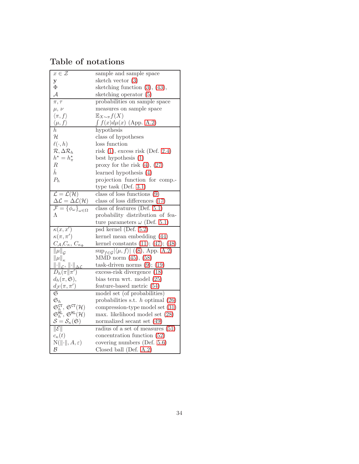## Table of notations

| $x\in\mathcal{Z}$                                                                                                                                               | sample and sample space                                                                  |  |
|-----------------------------------------------------------------------------------------------------------------------------------------------------------------|------------------------------------------------------------------------------------------|--|
| y                                                                                                                                                               | sketch vector $(3)$                                                                      |  |
| Φ                                                                                                                                                               | sketching function $(3)$ , $(43)$ ,                                                      |  |
| А                                                                                                                                                               | sketching operator (5)                                                                   |  |
| $\pi, \tau$                                                                                                                                                     | probabilities on sample space                                                            |  |
| $\mu, \nu$                                                                                                                                                      | measures on sample space                                                                 |  |
| $\langle \pi, f \rangle$                                                                                                                                        | $\mathbb{E}_{X \sim \pi} f(X)$                                                           |  |
| $\langle \mu, f \rangle$                                                                                                                                        | $\int f(x) d\mu(x)$ (App. A.2)                                                           |  |
| h.                                                                                                                                                              | hypothesis                                                                               |  |
| $\mathcal H$                                                                                                                                                    | class of hypotheses                                                                      |  |
| $\ell(\cdot, h)$<br>loss function                                                                                                                               |                                                                                          |  |
| $\mathcal{R}, \Delta \mathcal{R}_h$                                                                                                                             | risk $(1)$ , excess risk $(\text{Def. } 2.4)$                                            |  |
| $h^{\star} = h_{\pi}^{\star}$                                                                                                                                   | best hypothesis $(1)$                                                                    |  |
| R                                                                                                                                                               | proxy for the risk $(4)$ , $(27)$                                                        |  |
| $\hat{h}$                                                                                                                                                       | learned hypothesis $(4)$                                                                 |  |
| $P_h$                                                                                                                                                           | projection function for comp.-                                                           |  |
|                                                                                                                                                                 | type task (Def. $3.1$ )                                                                  |  |
| $\overline{\mathcal{L}} = \mathcal{L}(\mathcal{H})$                                                                                                             | class of loss functions $(9)$                                                            |  |
| $\Delta \mathcal{L} = \Delta \mathcal{L}(\mathcal{H})$                                                                                                          | class of loss differences $(17)$                                                         |  |
| $\overline{\mathcal{F} = \{\phi_\omega\}}_{\omega \in \Omega}$                                                                                                  | class of features (Def. $5.1$ )                                                          |  |
| Λ                                                                                                                                                               | probability distribution of fea-                                                         |  |
|                                                                                                                                                                 | ture parameters $\omega$ (Def. 5.1)                                                      |  |
| $\kappa(x,x')$                                                                                                                                                  | psd kernel (Def. 5.2)                                                                    |  |
| $\kappa(\pi,\pi')$                                                                                                                                              | kernel mean embedding (44)                                                               |  |
| $C_{\mathcal{A}}, C_{\kappa}, \underline{C_{\kappa_{\Phi}}}$                                                                                                    | kernel constants $(11); (47); (48)$                                                      |  |
| $\ \mu\ _{\mathcal{G}}$                                                                                                                                         | $\sup_{f \in \mathcal{G}}  \langle \mu, f \rangle  \langle (8), \text{App. A.2} \rangle$ |  |
| $\ \mu\ _{\kappa}$                                                                                                                                              | MMD norm $(45)$ , $(58)$                                                                 |  |
| $\left\Vert \cdot\right\Vert _{\mathcal{L}},\,\left\Vert \cdot\right\Vert _{\Delta\mathcal{L}}$                                                                 | task-driven norms $(9)$ ; $(19)$                                                         |  |
| $D_h(\pi  \pi')$                                                                                                                                                | excess-risk divergence (18)                                                              |  |
| $d_h(\pi, \mathfrak{S}),$                                                                                                                                       | bias term wrt. model $(25)$                                                              |  |
| $d_{\mathcal{F}}(\pi,\pi')$                                                                                                                                     | feature-based metric (54)                                                                |  |
| $\mathfrak S$                                                                                                                                                   | model set (of probabilities)                                                             |  |
| $\mathfrak{S}_h$                                                                                                                                                | probabilities s.t. $h$ optimal $(26)$                                                    |  |
| $\begin{array}{l} \mathfrak{S}^{\tt CT}_h, \, \mathfrak{S}^{\tt CT}(\mathcal{H}) \\ \mathfrak{S}^{\tt ML}_h, \, \mathfrak{S}^{\tt ML}(\mathcal{H}) \end{array}$ | compression-type model set (31)                                                          |  |
|                                                                                                                                                                 | max. likelihood model set (28)                                                           |  |
| $\mathcal{S} = \mathcal{S}_{\kappa}(\mathfrak{S})$                                                                                                              | normalized secant set (49)                                                               |  |
| $\ \mathcal{E}\ $                                                                                                                                               | radius of a set of measures $(51)$                                                       |  |
| $c_{\kappa}(t)$                                                                                                                                                 | concentration function $(52)$                                                            |  |
| $N(  \cdot  , A, \varepsilon)$                                                                                                                                  | covering numbers $(Def. 5.6)$                                                            |  |
| $\mathcal B$                                                                                                                                                    | Closed ball (Def. $A.2$ )                                                                |  |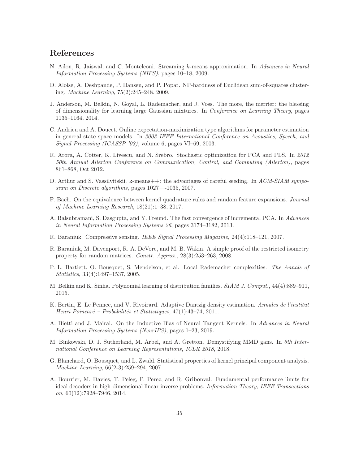## References

- N. Ailon, R. Jaiswal, and C. Monteleoni. Streaming k-means approximation. In Advances in Neural Information Processing Systems (NIPS), pages 10–18, 2009.
- D. Aloise, A. Deshpande, P. Hansen, and P. Popat. NP-hardness of Euclidean sum-of-squares clustering. Machine Learning, 75(2):245–248, 2009.
- J. Anderson, M. Belkin, N. Goyal, L. Rademacher, and J. Voss. The more, the merrier: the blessing of dimensionality for learning large Gaussian mixtures. In Conference on Learning Theory, pages 1135–1164, 2014.
- C. Andrieu and A. Doucet. Online expectation-maximization type algorithms for parameter estimation in general state space models. In 2003 IEEE International Conference on Acoustics, Speech, and Signal Processing (ICASSP '03), volume 6, pages VI–69, 2003.
- R. Arora, A. Cotter, K. Livescu, and N. Srebro. Stochastic optimization for PCA and PLS. In 2012 50th Annual Allerton Conference on Communication, Control, and Computing (Allerton), pages 861–868, Oct 2012.
- D. Arthur and S. Vassilvitskii. k-means++: the advantages of careful seeding. In ACM-SIAM symposium on Discrete algorithms, pages 1027—-1035, 2007.
- F. Bach. On the equivalence between kernel quadrature rules and random feature expansions. Journal of Machine Learning Research, 18(21):1–38, 2017.
- A. Balsubramani, S. Dasgupta, and Y. Freund. The fast convergence of incremental PCA. In Advances in Neural Information Processing Systems 26, pages 3174–3182, 2013.
- R. Baraniuk. Compressive sensing. IEEE Signal Processing Magazine, 24(4):118–121, 2007.
- R. Baraniuk, M. Davenport, R. A. DeVore, and M. B. Wakin. A simple proof of the restricted isometry property for random matrices. Constr. Approx., 28(3):253–263, 2008.
- P. L. Bartlett, O. Bousquet, S. Mendelson, et al. Local Rademacher complexities. The Annals of Statistics, 33(4):1497–1537, 2005.
- M. Belkin and K. Sinha. Polynomial learning of distribution families. *SIAM J. Comput.*, 44(4):889–911, 2015.
- K. Bertin, E. Le Pennec, and V. Rivoirard. Adaptive Dantzig density estimation. Annales de l'institut Henri Poincaré – Probabilités et Statistiques, 47(1):43–74, 2011.
- A. Bietti and J. Mairal. On the Inductive Bias of Neural Tangent Kernels. In Advances in Neural Information Processing Systems (NeurIPS), pages 1–23, 2019.
- M. Binkowski, D. J. Sutherland, M. Arbel, and A. Gretton. Demystifying MMD gans. In 6th International Conference on Learning Representations, ICLR 2018, 2018.
- G. Blanchard, O. Bousquet, and L. Zwald. Statistical properties of kernel principal component analysis. Machine Learning, 66(2-3):259–294, 2007.
- A. Bourrier, M. Davies, T. Peleg, P. Perez, and R. Gribonval. Fundamental performance limits for ideal decoders in high-dimensional linear inverse problems. Information Theory, IEEE Transactions  $\omega$ <sub>0</sub>, 60(12):7928–7946, 2014.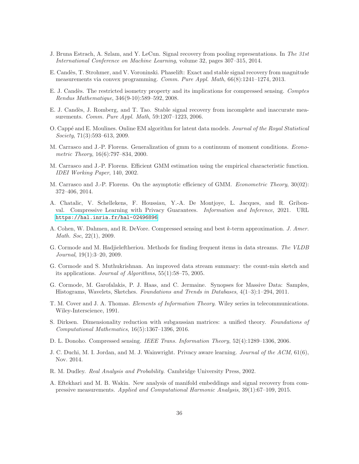- J. Bruna Estrach, A. Szlam, and Y. LeCun. Signal recovery from pooling representations. In The 31st International Conference on Machine Learning, volume 32, pages 307–315, 2014.
- E. Cand`es, T. Strohmer, and V. Voroninski. Phaselift: Exact and stable signal recovery from magnitude measurements via convex programming. Comm. Pure Appl. Math, 66(8):1241–1274, 2013.
- E. J. Candès. The restricted isometry property and its implications for compressed sensing. Comptes Rendus Mathematique, 346(9-10):589–592, 2008.
- E. J. Candès, J. Romberg, and T. Tao. Stable signal recovery from incomplete and inaccurate measurements. Comm. Pure Appl. Math, 59:1207–1223, 2006.
- O. Cappé and E. Moulines. Online EM algorithm for latent data models. Journal of the Royal Statistical Society, 71(3):593–613, 2009.
- M. Carrasco and J.-P. Florens. Generalization of gmm to a continuum of moment conditions. Econometric Theory, 16(6):797–834, 2000.
- M. Carrasco and J.-P. Florens. Efficient GMM estimation using the empirical characteristic function. IDEI Working Paper, 140, 2002.
- M. Carrasco and J.-P. Florens. On the asymptotic efficiency of GMM. Econometric Theory, 30(02): 372–406, 2014.
- A. Chatalic, V. Schellekens, F. Houssiau, Y.-A. De Montjoye, L. Jacques, and R. Gribonval. Compressive Learning with Privacy Guarantees. Information and Inference, 2021. URL <https://hal.inria.fr/hal-02496896>.
- A. Cohen, W. Dahmen, and R. DeVore. Compressed sensing and best k-term approximation. J. Amer. Math. Soc, 22(1), 2009.
- G. Cormode and M. Hadjieleftheriou. Methods for finding frequent items in data streams. The VLDB Journal, 19(1):3–20, 2009.
- G. Cormode and S. Muthukrishnan. An improved data stream summary: the count-min sketch and its applications. Journal of Algorithms, 55(1):58–75, 2005.
- G. Cormode, M. Garofalakis, P. J. Haas, and C. Jermaine. Synopses for Massive Data: Samples, Histograms, Wavelets, Sketches. Foundations and Trends in Databases, 4(1–3):1–294, 2011.
- T. M. Cover and J. A. Thomas. Elements of Information Theory. Wiley series in telecommunications. Wiley-Interscience, 1991.
- S. Dirksen. Dimensionality reduction with subgaussian matrices: a unified theory. Foundations of Computational Mathematics, 16(5):1367–1396, 2016.
- D. L. Donoho. Compressed sensing. IEEE Trans. Information Theory, 52(4):1289–1306, 2006.
- J. C. Duchi, M. I. Jordan, and M. J. Wainwright. Privacy aware learning. Journal of the ACM, 61(6), Nov. 2014.
- R. M. Dudley. Real Analysis and Probability. Cambridge University Press, 2002.
- A. Eftekhari and M. B. Wakin. New analysis of manifold embeddings and signal recovery from compressive measurements. Applied and Computational Harmonic Analysis, 39(1):67–109, 2015.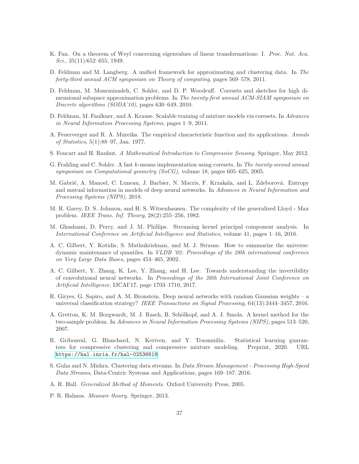- K. Fan. On a theorem of Weyl concerning eigenvalues of linear transformations: I. Proc. Nat. Aca. Sci.,  $35(11):652-655$ , 1949.
- D. Feldman and M. Langberg. A unified framework for approximating and clustering data. In The forty-third annual ACM symposium on Theory of computing, pages 569–578, 2011.
- D. Feldman, M. Monemizadeh, C. Sohler, and D. P. Woodruff. Coresets and sketches for high dimensional subspace approximation problems. In The twenty-first annual ACM-SIAM symposium on Discrete algorithms (SODA'10), pages 630–649, 2010.
- D. Feldman, M. Faulkner, and A. Krause. Scalable training of mixture models via coresets. In Advances in Neural Information Processing Systems, pages 1–9, 2011.
- A. Feuerverger and R. A. Mureika. The empirical characteristic function and its applications. Annals of Statistics, 5(1):88–97, Jan. 1977.
- S. Foucart and H. Rauhut. A Mathematical Introduction to Compressive Sensing. Springer, May 2012.
- G. Frahling and C. Sohler. A fast k-means implementation using coresets. In The twenty-second annual symposium on Computational geometry (SoCG), volume 18, pages 605–625, 2005.
- M. Gabrié, A. Manoel, C. Luneau, J. Barbier, N. Macris, F. Krzakala, and L. Zdeborová. Entropy and mutual information in models of deep neural networks. In Advances in Neural Information and Processing Systems (NIPS), 2018.
- M. R. Garey, D. S. Johnson, and H. S. Witsenhausen. The complexity of the generalized Lloyd Max problem. IEEE Trans. Inf. Theory, 28(2):255–256, 1982.
- M. Ghashami, D. Perry, and J. M. Phillips. Streaming kernel principal component analysis. In International Conference on Artificial Intelligence and Statistics, volume 41, pages 1–16, 2016.
- A. C. Gilbert, Y. Kotidis, S. Muthukrishnan, and M. J. Strauss. How to summarize the universe: dynamic maintenance of quantiles. In VLDB '02: Proceedings of the 28th international conference on Very Large Data Bases, pages 454–465, 2002.
- A. C. Gilbert, Y. Zhang, K. Lee, Y. Zhang, and H. Lee. Towards understanding the invertibility of convolutional neural networks. In Proceedings of the 26th International Joint Conference on Artificial Intelligence, IJCAI'17, page 1703–1710, 2017.
- R. Giryes, G. Sapiro, and A. M. Bronstein. Deep neural networks with random Gaussian weights a universal classification strategy? IEEE Transactions on Signal Processing, 64(13):3444–3457, 2016.
- A. Gretton, K. M. Borgwardt, M. J. Rasch, B. Schölkopf, and A. J. Smola. A kernel method for the two-sample problem. In Advances in Neural Information Processing Systems (NIPS), pages 513–520, 2007.
- R. Gribonval, G. Blanchard, N. Keriven, and Y. Traonmilin. Statistical learning guarantees for compressive clustering and compressive mixture modeling. Preprint, 2020. URL <https://hal.inria.fr/hal-02536818>.
- S. Guha and N. Mishra. Clustering data streams. In Data Stream Management Processing High-Speed Data Streams, Data-Centric Systems and Applications, pages 169–187. 2016.
- A. R. Hall. Generalized Method of Moments. Oxford University Press, 2005.
- P. R. Halmos. Measure theory. Springer, 2013.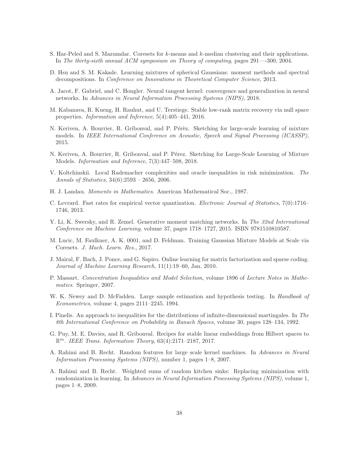- S. Har-Peled and S. Mazumdar. Coresets for k-means and k-median clustering and their applications. In The thirty-sixth annual ACM symposium on Theory of computing, pages 291—-300, 2004.
- D. Hsu and S. M. Kakade. Learning mixtures of spherical Gaussians: moment methods and spectral decompositions. In Conference on Innovations in Theoretical Computer Science, 2013.
- A. Jacot, F. Gabriel, and C. Hongler. Neural tangent kernel: convergence and generalization in neural networks. In Advances in Neural Information Processing Systems (NIPS), 2018.
- M. Kabanava, R. Kueng, H. Rauhut, and U. Terstiege. Stable low-rank matrix recovery via null space properties. Information and Inference, 5(4):405–441, 2016.
- N. Keriven, A. Bourrier, R. Gribonval, and P. Pérèz. Sketching for large-scale learning of mixture models. In IEEE International Conference on Acoustic, Speech and Signal Processing (ICASSP), 2015.
- N. Keriven, A. Bourrier, R. Gribonval, and P. Pérez. Sketching for Large-Scale Learning of Mixture Models. Information and Inference, 7(3):447–508, 2018.
- V. Koltchinskii. Local Rademacher complexities and oracle inequalities in risk minimization. The Annals of Statistics, 34(6):2593 – 2656, 2006.
- H. J. Landau. Moments in Mathematics. American Mathematical Soc., 1987.
- C. Levrard. Fast rates for empirical vector quantization. Electronic Journal of Statistics, 7(0):1716– 1746, 2013.
- Y. Li, K. Swersky, and R. Zemel. Generative moment matching networks. In The 32nd International Conference on Machine Learning, volume 37, pages 1718–1727, 2015. ISBN 9781510810587.
- M. Lucic, M. Faulkner, A. K. 0001, and D. Feldman. Training Gaussian Mixture Models at Scale via Coresets. J. Mach. Learn. Res., 2017.
- J. Mairal, F. Bach, J. Ponce, and G. Sapiro. Online learning for matrix factorization and sparse coding. Journal of Machine Learning Research, 11(1):19–60, Jan. 2010.
- P. Massart. Concentration Inequalities and Model Selection, volume 1896 of Lecture Notes in Mathematics. Springer, 2007.
- W. K. Newey and D. McFadden. Large sample estimation and hypothesis testing. In *Handbook of* Econometrics, volume 4, pages 2111–2245. 1994.
- I. Pinelis. An approach to inequalities for the distributions of infinite-dimensional martingales. In The 8th International Conference on Probability in Banach Spaces, volume 30, pages 128–134, 1992.
- G. Puy, M. E. Davies, and R. Gribonval. Recipes for stable linear embeddings from Hilbert spaces to  $\mathbb{R}^m$ . IEEE Trans. Information Theory, 63(4):2171-2187, 2017.
- A. Rahimi and B. Recht. Random features for large scale kernel machines. In Advances in Neural Information Processing Systems (NIPS), number 1, pages 1–8, 2007.
- A. Rahimi and B. Recht. Weighted sums of random kitchen sinks: Replacing minimization with randomization in learning. In Advances in Neural Information Processing Systems (NIPS), volume 1, pages 1–8, 2009.